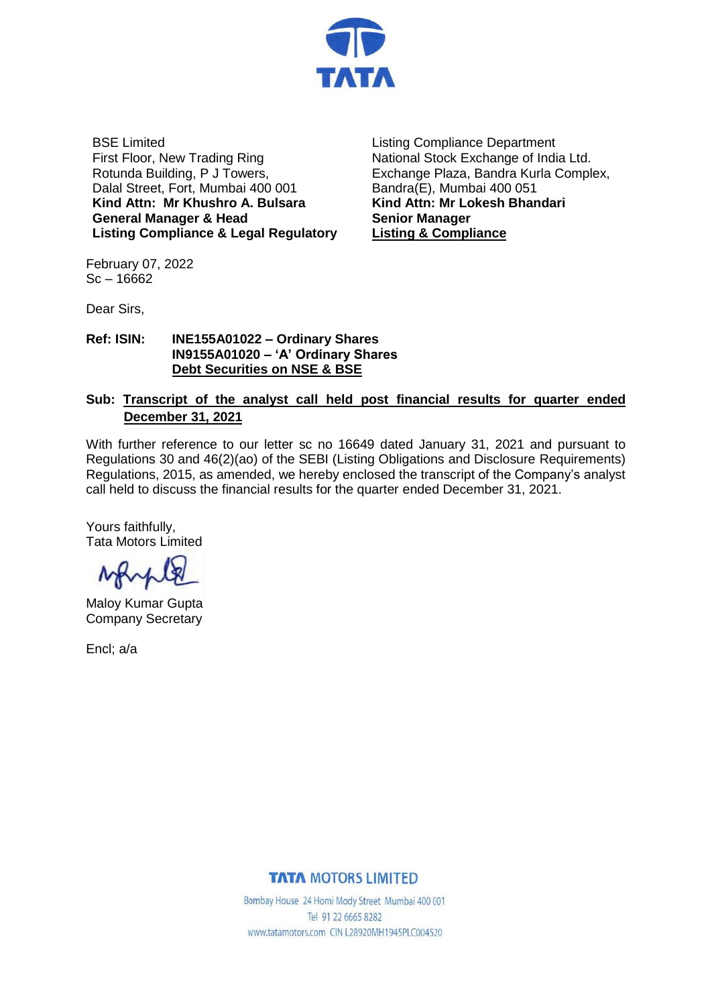

BSE Limited First Floor, New Trading Ring Rotunda Building, P J Towers, Dalal Street, Fort, Mumbai 400 001 **Kind Attn: Mr Khushro A. Bulsara General Manager & Head Listing Compliance & Legal Regulatory** Listing Compliance Department National Stock Exchange of India Ltd. Exchange Plaza, Bandra Kurla Complex, Bandra(E), Mumbai 400 051 **Kind Attn: Mr Lokesh Bhandari Senior Manager Listing & Compliance**

February 07, 2022  $Sc - 16662$ 

Dear Sirs,

#### **Ref: ISIN: INE155A01022 – Ordinary Shares IN9155A01020 – 'A' Ordinary Shares Debt Securities on NSE & BSE**

### **Sub: Transcript of the analyst call held post financial results for quarter ended December 31, 2021**

With further reference to our letter sc no 16649 dated January 31, 2021 and pursuant to Regulations 30 and 46(2)(ao) of the SEBI (Listing Obligations and Disclosure Requirements) Regulations, 2015, as amended, we hereby enclosed the transcript of the Company's analyst call held to discuss the financial results for the quarter ended December 31, 2021.

Yours faithfully, Tata Motors Limited

Maloy Kumar Gupta Company Secretary

Encl; a/a

#### **TATA MOTORS LIMITED**

Bombay House 24 Homi Mody Street Mumbai 400 001 Tel 91 22 6665 8282 www.tatamotors.com CIN L28920MH1945PLC004520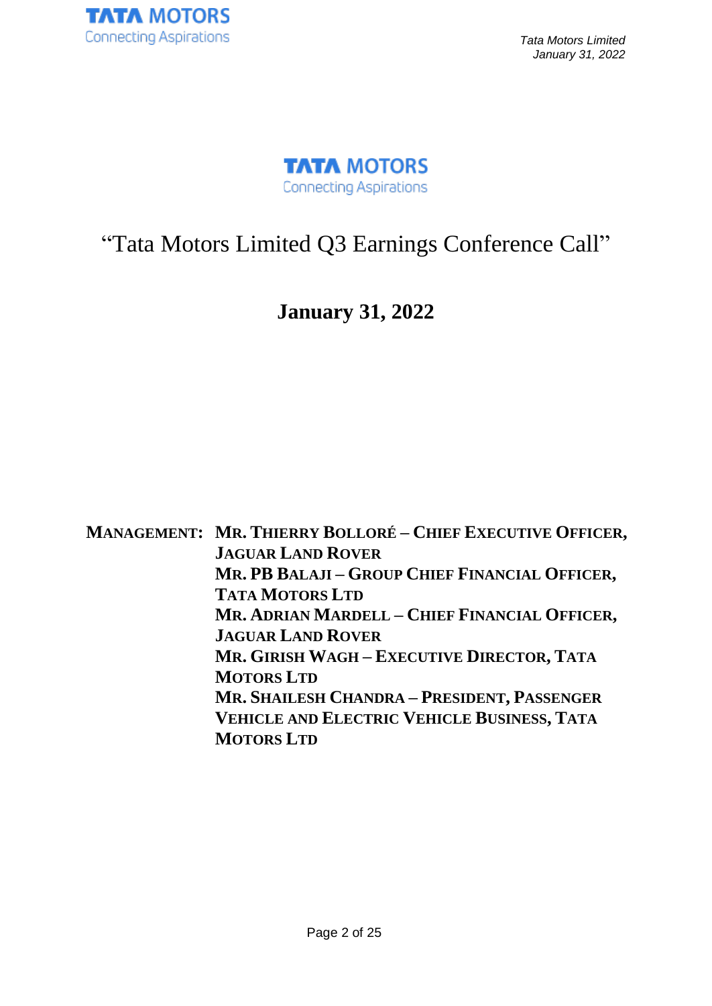



# "Tata Motors Limited Q3 Earnings Conference Call"

## **January 31, 2022**

**MANAGEMENT: MR. THIERRY BOLLORÉ – CHIEF EXECUTIVE OFFICER, JAGUAR LAND ROVER MR. PB BALAJI – GROUP CHIEF FINANCIAL OFFICER, TATA MOTORS LTD MR. ADRIAN MARDELL – CHIEF FINANCIAL OFFICER, JAGUAR LAND ROVER MR. GIRISH WAGH – EXECUTIVE DIRECTOR, TATA MOTORS LTD MR. SHAILESH CHANDRA – PRESIDENT, PASSENGER VEHICLE AND ELECTRIC VEHICLE BUSINESS, TATA MOTORS LTD**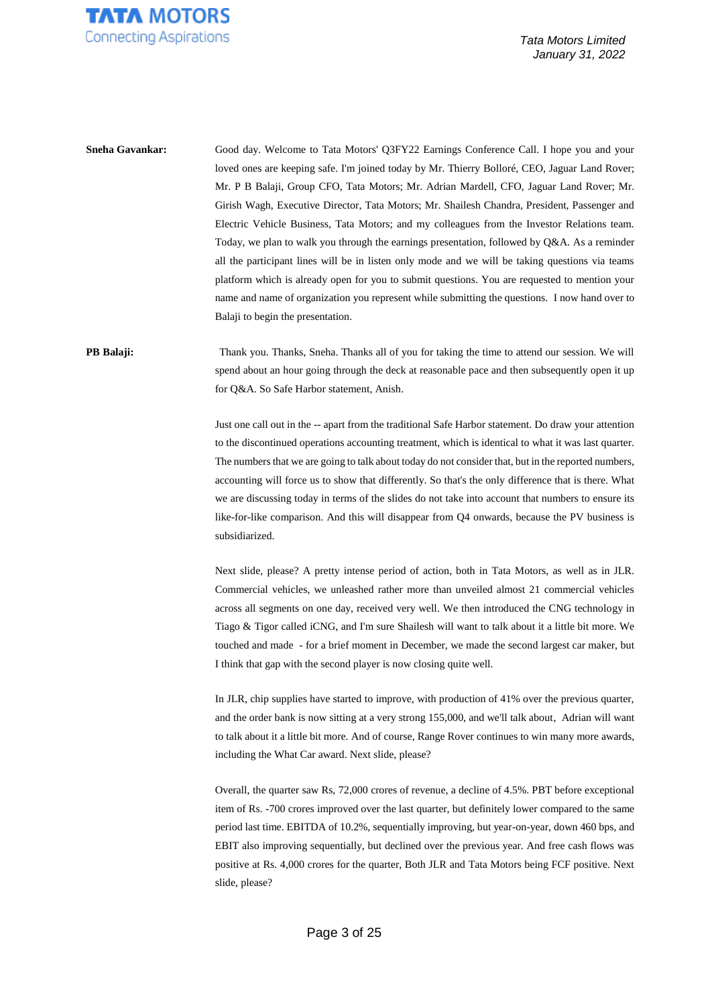

**Sneha Gavankar:** Good day. Welcome to Tata Motors' Q3FY22 Earnings Conference Call. I hope you and your loved ones are keeping safe. I'm joined today by Mr. Thierry Bolloré, CEO, Jaguar Land Rover; Mr. P B Balaji, Group CFO, Tata Motors; Mr. Adrian Mardell, CFO, Jaguar Land Rover; Mr. Girish Wagh, Executive Director, Tata Motors; Mr. Shailesh Chandra, President, Passenger and Electric Vehicle Business, Tata Motors; and my colleagues from the Investor Relations team. Today, we plan to walk you through the earnings presentation, followed by Q&A. As a reminder all the participant lines will be in listen only mode and we will be taking questions via teams platform which is already open for you to submit questions. You are requested to mention your name and name of organization you represent while submitting the questions. I now hand over to Balaji to begin the presentation.

**PB Balaji:** Thank you. Thanks, Sneha. Thanks all of you for taking the time to attend our session. We will spend about an hour going through the deck at reasonable pace and then subsequently open it up for Q&A. So Safe Harbor statement, Anish.

> Just one call out in the -- apart from the traditional Safe Harbor statement. Do draw your attention to the discontinued operations accounting treatment, which is identical to what it was last quarter. The numbers that we are going to talk about today do not consider that, but in the reported numbers, accounting will force us to show that differently. So that's the only difference that is there. What we are discussing today in terms of the slides do not take into account that numbers to ensure its like-for-like comparison. And this will disappear from Q4 onwards, because the PV business is subsidiarized.

> Next slide, please? A pretty intense period of action, both in Tata Motors, as well as in JLR. Commercial vehicles, we unleashed rather more than unveiled almost 21 commercial vehicles across all segments on one day, received very well. We then introduced the CNG technology in Tiago & Tigor called iCNG, and I'm sure Shailesh will want to talk about it a little bit more. We touched and made - for a brief moment in December, we made the second largest car maker, but I think that gap with the second player is now closing quite well.

> In JLR, chip supplies have started to improve, with production of 41% over the previous quarter, and the order bank is now sitting at a very strong 155,000, and we'll talk about, Adrian will want to talk about it a little bit more. And of course, Range Rover continues to win many more awards, including the What Car award. Next slide, please?

> Overall, the quarter saw Rs, 72,000 crores of revenue, a decline of 4.5%. PBT before exceptional item of Rs. -700 crores improved over the last quarter, but definitely lower compared to the same period last time. EBITDA of 10.2%, sequentially improving, but year-on-year, down 460 bps, and EBIT also improving sequentially, but declined over the previous year. And free cash flows was positive at Rs. 4,000 crores for the quarter, Both JLR and Tata Motors being FCF positive. Next slide, please?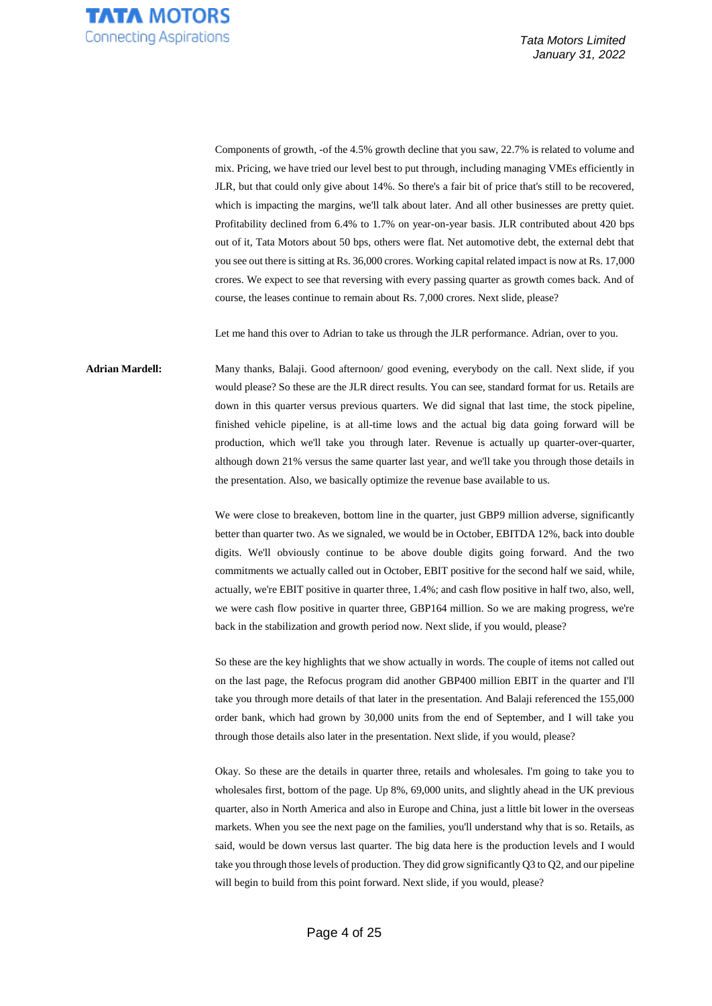

Components of growth, -of the 4.5% growth decline that you saw, 22.7% is related to volume and mix. Pricing, we have tried our level best to put through, including managing VMEs efficiently in JLR, but that could only give about 14%. So there's a fair bit of price that's still to be recovered, which is impacting the margins, we'll talk about later. And all other businesses are pretty quiet. Profitability declined from 6.4% to 1.7% on year-on-year basis. JLR contributed about 420 bps out of it, Tata Motors about 50 bps, others were flat. Net automotive debt, the external debt that you see out there is sitting at Rs. 36,000 crores. Working capital related impact is now at Rs. 17,000 crores. We expect to see that reversing with every passing quarter as growth comes back. And of course, the leases continue to remain about Rs. 7,000 crores. Next slide, please?

Let me hand this over to Adrian to take us through the JLR performance. Adrian, over to you.

**Adrian Mardell:** Many thanks, Balaji. Good afternoon/ good evening, everybody on the call. Next slide, if you would please? So these are the JLR direct results. You can see, standard format for us. Retails are down in this quarter versus previous quarters. We did signal that last time, the stock pipeline, finished vehicle pipeline, is at all-time lows and the actual big data going forward will be production, which we'll take you through later. Revenue is actually up quarter-over-quarter, although down 21% versus the same quarter last year, and we'll take you through those details in the presentation. Also, we basically optimize the revenue base available to us.

> We were close to breakeven, bottom line in the quarter, just GBP9 million adverse, significantly better than quarter two. As we signaled, we would be in October, EBITDA 12%, back into double digits. We'll obviously continue to be above double digits going forward. And the two commitments we actually called out in October, EBIT positive for the second half we said, while, actually, we're EBIT positive in quarter three, 1.4%; and cash flow positive in half two, also, well, we were cash flow positive in quarter three, GBP164 million. So we are making progress, we're back in the stabilization and growth period now. Next slide, if you would, please?

> So these are the key highlights that we show actually in words. The couple of items not called out on the last page, the Refocus program did another GBP400 million EBIT in the quarter and I'll take you through more details of that later in the presentation. And Balaji referenced the 155,000 order bank, which had grown by 30,000 units from the end of September, and I will take you through those details also later in the presentation. Next slide, if you would, please?

> Okay. So these are the details in quarter three, retails and wholesales. I'm going to take you to wholesales first, bottom of the page. Up 8%, 69,000 units, and slightly ahead in the UK previous quarter, also in North America and also in Europe and China, just a little bit lower in the overseas markets. When you see the next page on the families, you'll understand why that is so. Retails, as said, would be down versus last quarter. The big data here is the production levels and I would take you through those levels of production. They did grow significantly Q3 to Q2, and our pipeline will begin to build from this point forward. Next slide, if you would, please?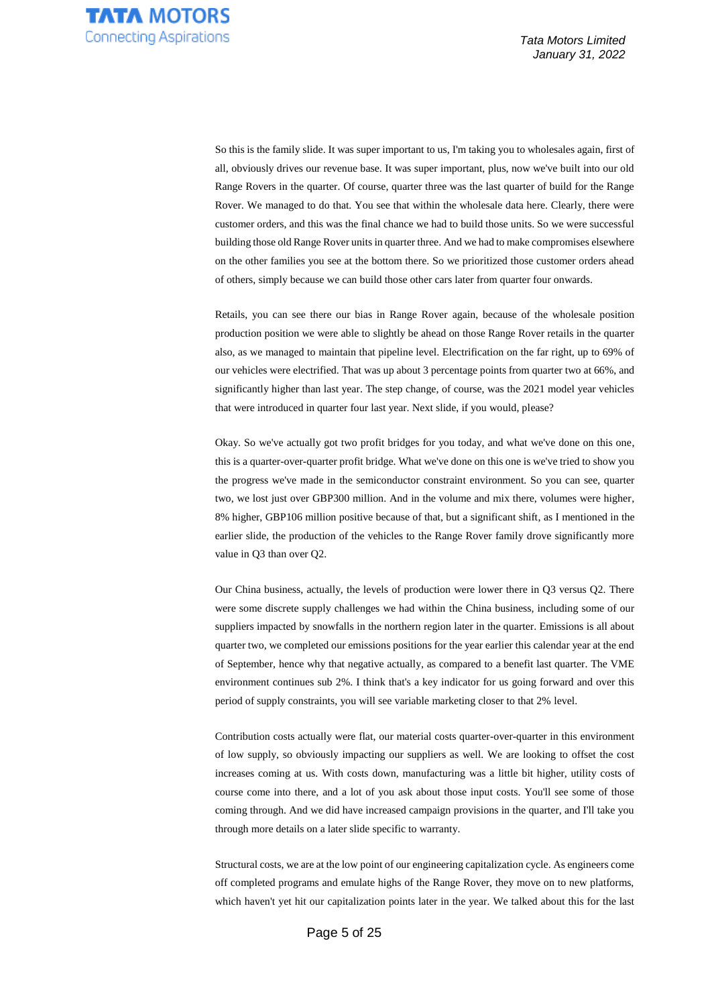So this is the family slide. It was super important to us, I'm taking you to wholesales again, first of all, obviously drives our revenue base. It was super important, plus, now we've built into our old Range Rovers in the quarter. Of course, quarter three was the last quarter of build for the Range Rover. We managed to do that. You see that within the wholesale data here. Clearly, there were customer orders, and this was the final chance we had to build those units. So we were successful building those old Range Rover units in quarter three. And we had to make compromises elsewhere on the other families you see at the bottom there. So we prioritized those customer orders ahead of others, simply because we can build those other cars later from quarter four onwards.

Retails, you can see there our bias in Range Rover again, because of the wholesale position production position we were able to slightly be ahead on those Range Rover retails in the quarter also, as we managed to maintain that pipeline level. Electrification on the far right, up to 69% of our vehicles were electrified. That was up about 3 percentage points from quarter two at 66%, and significantly higher than last year. The step change, of course, was the 2021 model year vehicles that were introduced in quarter four last year. Next slide, if you would, please?

Okay. So we've actually got two profit bridges for you today, and what we've done on this one, this is a quarter-over-quarter profit bridge. What we've done on this one is we've tried to show you the progress we've made in the semiconductor constraint environment. So you can see, quarter two, we lost just over GBP300 million. And in the volume and mix there, volumes were higher, 8% higher, GBP106 million positive because of that, but a significant shift, as I mentioned in the earlier slide, the production of the vehicles to the Range Rover family drove significantly more value in Q3 than over Q2.

Our China business, actually, the levels of production were lower there in Q3 versus Q2. There were some discrete supply challenges we had within the China business, including some of our suppliers impacted by snowfalls in the northern region later in the quarter. Emissions is all about quarter two, we completed our emissions positions for the year earlier this calendar year at the end of September, hence why that negative actually, as compared to a benefit last quarter. The VME environment continues sub 2%. I think that's a key indicator for us going forward and over this period of supply constraints, you will see variable marketing closer to that 2% level.

Contribution costs actually were flat, our material costs quarter-over-quarter in this environment of low supply, so obviously impacting our suppliers as well. We are looking to offset the cost increases coming at us. With costs down, manufacturing was a little bit higher, utility costs of course come into there, and a lot of you ask about those input costs. You'll see some of those coming through. And we did have increased campaign provisions in the quarter, and I'll take you through more details on a later slide specific to warranty.

Structural costs, we are at the low point of our engineering capitalization cycle. As engineers come off completed programs and emulate highs of the Range Rover, they move on to new platforms, which haven't yet hit our capitalization points later in the year. We talked about this for the last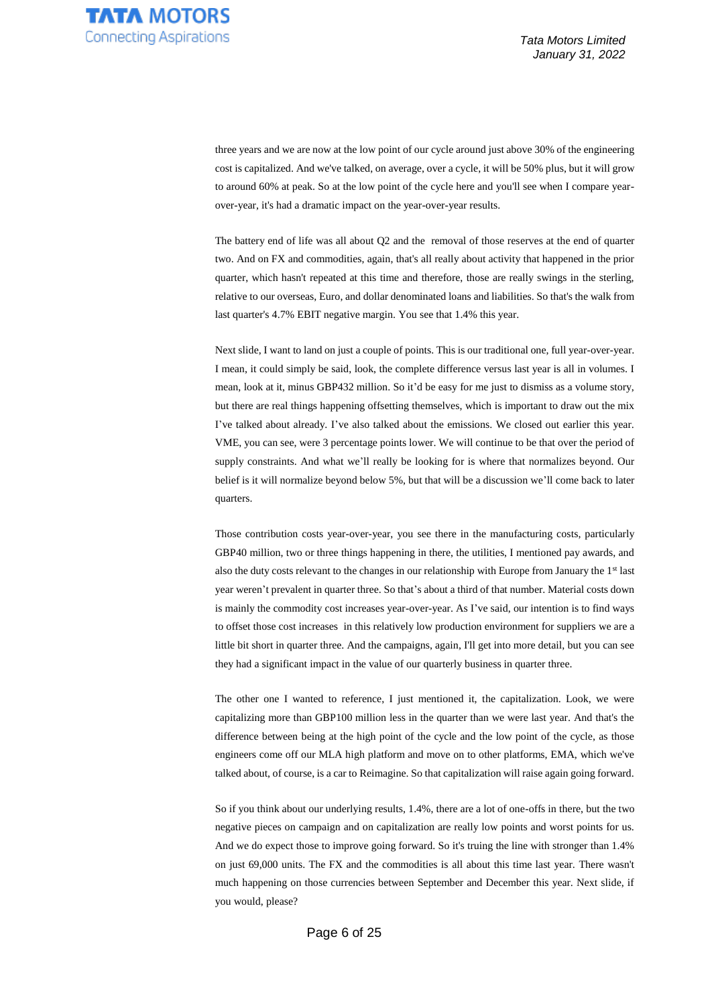three years and we are now at the low point of our cycle around just above 30% of the engineering cost is capitalized. And we've talked, on average, over a cycle, it will be 50% plus, but it will grow to around 60% at peak. So at the low point of the cycle here and you'll see when I compare yearover-year, it's had a dramatic impact on the year-over-year results.

The battery end of life was all about Q2 and the removal of those reserves at the end of quarter two. And on FX and commodities, again, that's all really about activity that happened in the prior quarter, which hasn't repeated at this time and therefore, those are really swings in the sterling, relative to our overseas, Euro, and dollar denominated loans and liabilities. So that's the walk from last quarter's 4.7% EBIT negative margin. You see that 1.4% this year.

Next slide, I want to land on just a couple of points. This is our traditional one, full year-over-year. I mean, it could simply be said, look, the complete difference versus last year is all in volumes. I mean, look at it, minus GBP432 million. So it'd be easy for me just to dismiss as a volume story, but there are real things happening offsetting themselves, which is important to draw out the mix I've talked about already. I've also talked about the emissions. We closed out earlier this year. VME, you can see, were 3 percentage points lower. We will continue to be that over the period of supply constraints. And what we'll really be looking for is where that normalizes beyond. Our belief is it will normalize beyond below 5%, but that will be a discussion we'll come back to later quarters.

Those contribution costs year-over-year, you see there in the manufacturing costs, particularly GBP40 million, two or three things happening in there, the utilities, I mentioned pay awards, and also the duty costs relevant to the changes in our relationship with Europe from January the 1st last year weren't prevalent in quarter three. So that's about a third of that number. Material costs down is mainly the commodity cost increases year-over-year. As I've said, our intention is to find ways to offset those cost increases in this relatively low production environment for suppliers we are a little bit short in quarter three. And the campaigns, again, I'll get into more detail, but you can see they had a significant impact in the value of our quarterly business in quarter three.

The other one I wanted to reference, I just mentioned it, the capitalization. Look, we were capitalizing more than GBP100 million less in the quarter than we were last year. And that's the difference between being at the high point of the cycle and the low point of the cycle, as those engineers come off our MLA high platform and move on to other platforms, EMA, which we've talked about, of course, is a car to Reimagine. So that capitalization will raise again going forward.

So if you think about our underlying results, 1.4%, there are a lot of one-offs in there, but the two negative pieces on campaign and on capitalization are really low points and worst points for us. And we do expect those to improve going forward. So it's truing the line with stronger than 1.4% on just 69,000 units. The FX and the commodities is all about this time last year. There wasn't much happening on those currencies between September and December this year. Next slide, if you would, please?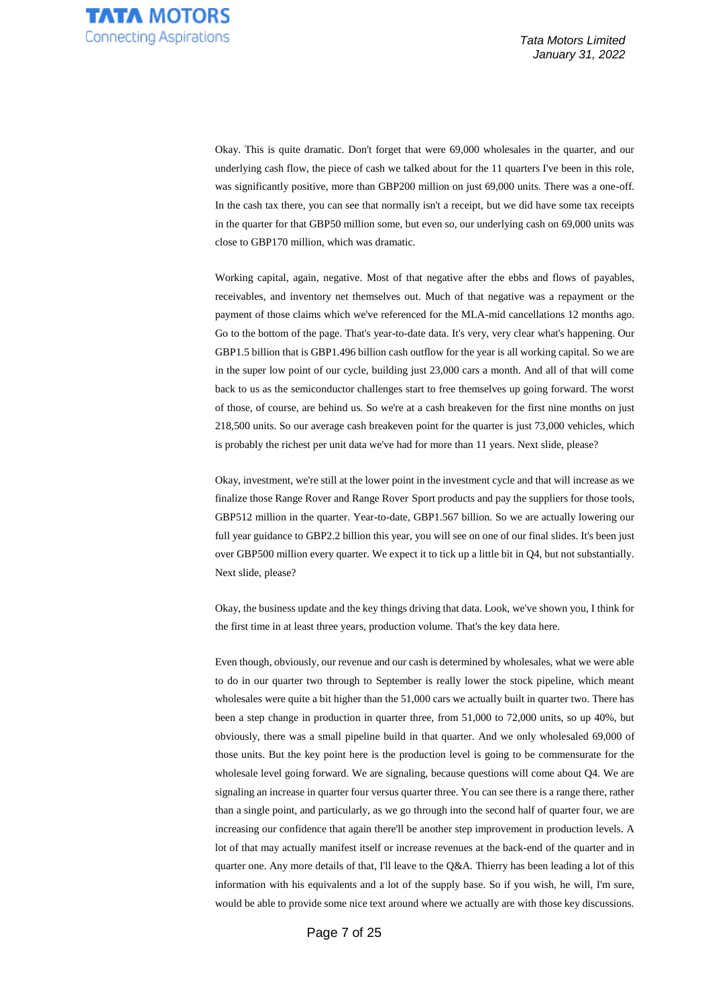Okay. This is quite dramatic. Don't forget that were 69,000 wholesales in the quarter, and our underlying cash flow, the piece of cash we talked about for the 11 quarters I've been in this role, was significantly positive, more than GBP200 million on just 69,000 units. There was a one-off. In the cash tax there, you can see that normally isn't a receipt, but we did have some tax receipts in the quarter for that GBP50 million some, but even so, our underlying cash on 69,000 units was close to GBP170 million, which was dramatic.

Working capital, again, negative. Most of that negative after the ebbs and flows of payables, receivables, and inventory net themselves out. Much of that negative was a repayment or the payment of those claims which we've referenced for the MLA-mid cancellations 12 months ago. Go to the bottom of the page. That's year-to-date data. It's very, very clear what's happening. Our GBP1.5 billion that is GBP1.496 billion cash outflow for the year is all working capital. So we are in the super low point of our cycle, building just 23,000 cars a month. And all of that will come back to us as the semiconductor challenges start to free themselves up going forward. The worst of those, of course, are behind us. So we're at a cash breakeven for the first nine months on just 218,500 units. So our average cash breakeven point for the quarter is just 73,000 vehicles, which is probably the richest per unit data we've had for more than 11 years. Next slide, please?

Okay, investment, we're still at the lower point in the investment cycle and that will increase as we finalize those Range Rover and Range Rover Sport products and pay the suppliers for those tools, GBP512 million in the quarter. Year-to-date, GBP1.567 billion. So we are actually lowering our full year guidance to GBP2.2 billion this year, you will see on one of our final slides. It's been just over GBP500 million every quarter. We expect it to tick up a little bit in Q4, but not substantially. Next slide, please?

Okay, the business update and the key things driving that data. Look, we've shown you, I think for the first time in at least three years, production volume. That's the key data here.

Even though, obviously, our revenue and our cash is determined by wholesales, what we were able to do in our quarter two through to September is really lower the stock pipeline, which meant wholesales were quite a bit higher than the 51,000 cars we actually built in quarter two. There has been a step change in production in quarter three, from 51,000 to 72,000 units, so up 40%, but obviously, there was a small pipeline build in that quarter. And we only wholesaled 69,000 of those units. But the key point here is the production level is going to be commensurate for the wholesale level going forward. We are signaling, because questions will come about Q4. We are signaling an increase in quarter four versus quarter three. You can see there is a range there, rather than a single point, and particularly, as we go through into the second half of quarter four, we are increasing our confidence that again there'll be another step improvement in production levels. A lot of that may actually manifest itself or increase revenues at the back-end of the quarter and in quarter one. Any more details of that, I'll leave to the Q&A. Thierry has been leading a lot of this information with his equivalents and a lot of the supply base. So if you wish, he will, I'm sure, would be able to provide some nice text around where we actually are with those key discussions.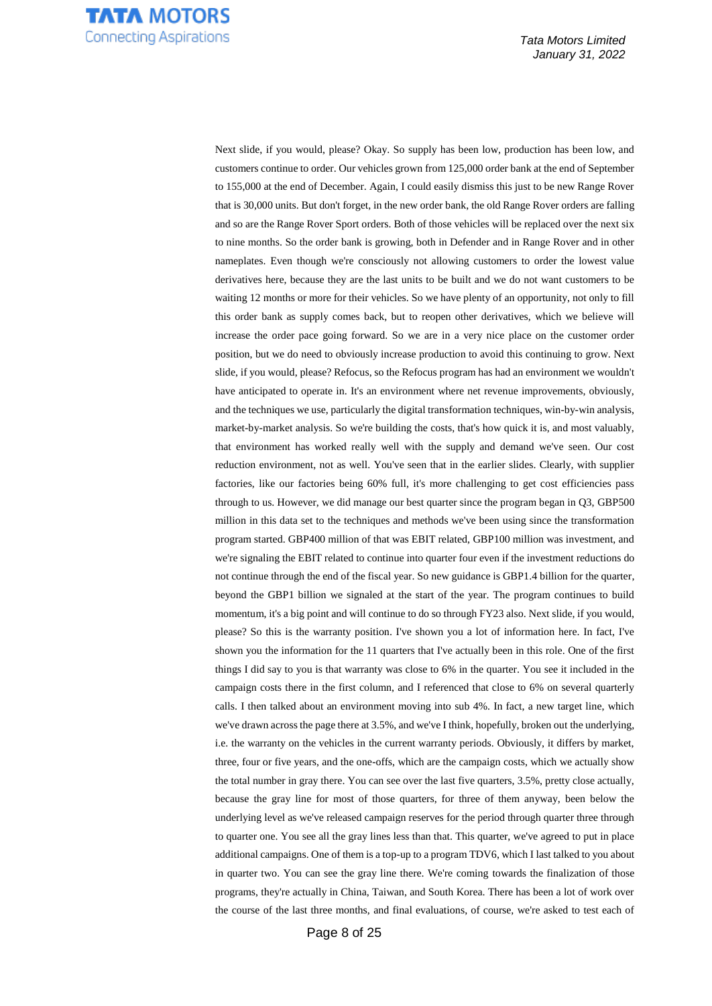

Next slide, if you would, please? Okay. So supply has been low, production has been low, and customers continue to order. Our vehicles grown from 125,000 order bank at the end of September to 155,000 at the end of December. Again, I could easily dismiss this just to be new Range Rover that is 30,000 units. But don't forget, in the new order bank, the old Range Rover orders are falling and so are the Range Rover Sport orders. Both of those vehicles will be replaced over the next six to nine months. So the order bank is growing, both in Defender and in Range Rover and in other nameplates. Even though we're consciously not allowing customers to order the lowest value derivatives here, because they are the last units to be built and we do not want customers to be waiting 12 months or more for their vehicles. So we have plenty of an opportunity, not only to fill this order bank as supply comes back, but to reopen other derivatives, which we believe will increase the order pace going forward. So we are in a very nice place on the customer order position, but we do need to obviously increase production to avoid this continuing to grow. Next slide, if you would, please? Refocus, so the Refocus program has had an environment we wouldn't have anticipated to operate in. It's an environment where net revenue improvements, obviously, and the techniques we use, particularly the digital transformation techniques, win-by-win analysis, market-by-market analysis. So we're building the costs, that's how quick it is, and most valuably, that environment has worked really well with the supply and demand we've seen. Our cost reduction environment, not as well. You've seen that in the earlier slides. Clearly, with supplier factories, like our factories being 60% full, it's more challenging to get cost efficiencies pass through to us. However, we did manage our best quarter since the program began in Q3, GBP500 million in this data set to the techniques and methods we've been using since the transformation program started. GBP400 million of that was EBIT related, GBP100 million was investment, and we're signaling the EBIT related to continue into quarter four even if the investment reductions do not continue through the end of the fiscal year. So new guidance is GBP1.4 billion for the quarter, beyond the GBP1 billion we signaled at the start of the year. The program continues to build momentum, it's a big point and will continue to do so through FY23 also. Next slide, if you would, please? So this is the warranty position. I've shown you a lot of information here. In fact, I've shown you the information for the 11 quarters that I've actually been in this role. One of the first things I did say to you is that warranty was close to 6% in the quarter. You see it included in the campaign costs there in the first column, and I referenced that close to 6% on several quarterly calls. I then talked about an environment moving into sub 4%. In fact, a new target line, which we've drawn across the page there at 3.5%, and we've I think, hopefully, broken out the underlying, i.e. the warranty on the vehicles in the current warranty periods. Obviously, it differs by market, three, four or five years, and the one-offs, which are the campaign costs, which we actually show the total number in gray there. You can see over the last five quarters, 3.5%, pretty close actually, because the gray line for most of those quarters, for three of them anyway, been below the underlying level as we've released campaign reserves for the period through quarter three through to quarter one. You see all the gray lines less than that. This quarter, we've agreed to put in place additional campaigns. One of them is a top-up to a program TDV6, which I last talked to you about in quarter two. You can see the gray line there. We're coming towards the finalization of those programs, they're actually in China, Taiwan, and South Korea. There has been a lot of work over the course of the last three months, and final evaluations, of course, we're asked to test each of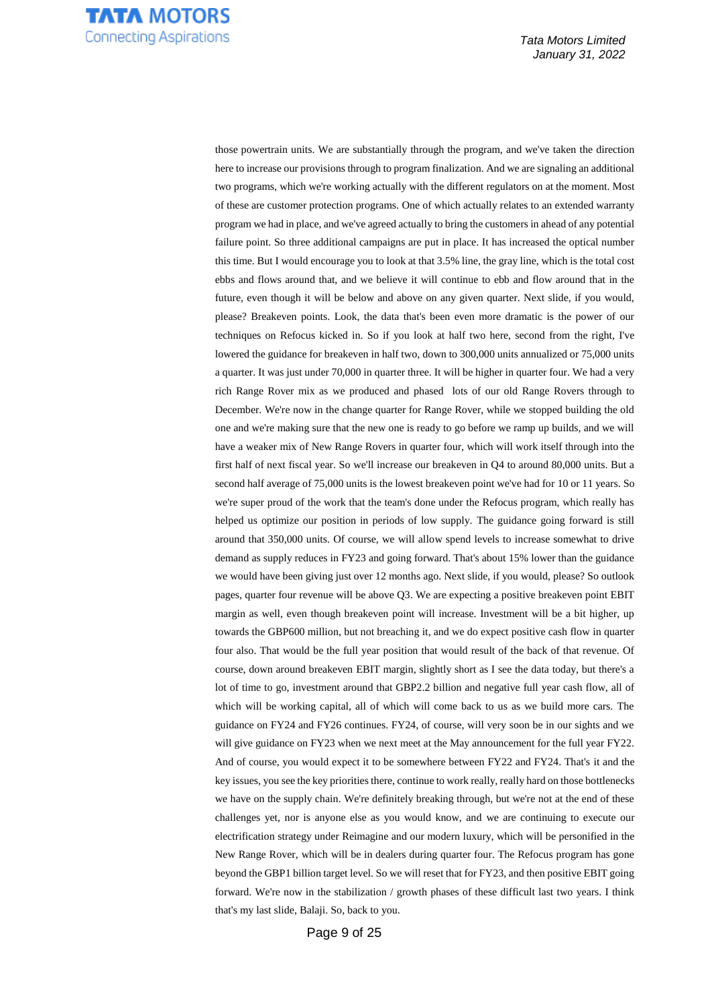

those powertrain units. We are substantially through the program, and we've taken the direction here to increase our provisions through to program finalization. And we are signaling an additional two programs, which we're working actually with the different regulators on at the moment. Most of these are customer protection programs. One of which actually relates to an extended warranty program we had in place, and we've agreed actually to bring the customers in ahead of any potential failure point. So three additional campaigns are put in place. It has increased the optical number this time. But I would encourage you to look at that 3.5% line, the gray line, which is the total cost ebbs and flows around that, and we believe it will continue to ebb and flow around that in the future, even though it will be below and above on any given quarter. Next slide, if you would, please? Breakeven points. Look, the data that's been even more dramatic is the power of our techniques on Refocus kicked in. So if you look at half two here, second from the right, I've lowered the guidance for breakeven in half two, down to 300,000 units annualized or 75,000 units a quarter. It was just under 70,000 in quarter three. It will be higher in quarter four. We had a very rich Range Rover mix as we produced and phased lots of our old Range Rovers through to December. We're now in the change quarter for Range Rover, while we stopped building the old one and we're making sure that the new one is ready to go before we ramp up builds, and we will have a weaker mix of New Range Rovers in quarter four, which will work itself through into the first half of next fiscal year. So we'll increase our breakeven in Q4 to around 80,000 units. But a second half average of 75,000 units is the lowest breakeven point we've had for 10 or 11 years. So we're super proud of the work that the team's done under the Refocus program, which really has helped us optimize our position in periods of low supply. The guidance going forward is still around that 350,000 units. Of course, we will allow spend levels to increase somewhat to drive demand as supply reduces in FY23 and going forward. That's about 15% lower than the guidance we would have been giving just over 12 months ago. Next slide, if you would, please? So outlook pages, quarter four revenue will be above Q3. We are expecting a positive breakeven point EBIT margin as well, even though breakeven point will increase. Investment will be a bit higher, up towards the GBP600 million, but not breaching it, and we do expect positive cash flow in quarter four also. That would be the full year position that would result of the back of that revenue. Of course, down around breakeven EBIT margin, slightly short as I see the data today, but there's a lot of time to go, investment around that GBP2.2 billion and negative full year cash flow, all of which will be working capital, all of which will come back to us as we build more cars. The guidance on FY24 and FY26 continues. FY24, of course, will very soon be in our sights and we will give guidance on FY23 when we next meet at the May announcement for the full year FY22. And of course, you would expect it to be somewhere between FY22 and FY24. That's it and the key issues, you see the key priorities there, continue to work really, really hard on those bottlenecks we have on the supply chain. We're definitely breaking through, but we're not at the end of these challenges yet, nor is anyone else as you would know, and we are continuing to execute our electrification strategy under Reimagine and our modern luxury, which will be personified in the New Range Rover, which will be in dealers during quarter four. The Refocus program has gone beyond the GBP1 billion target level. So we will reset that for FY23, and then positive EBIT going forward. We're now in the stabilization / growth phases of these difficult last two years. I think that's my last slide, Balaji. So, back to you.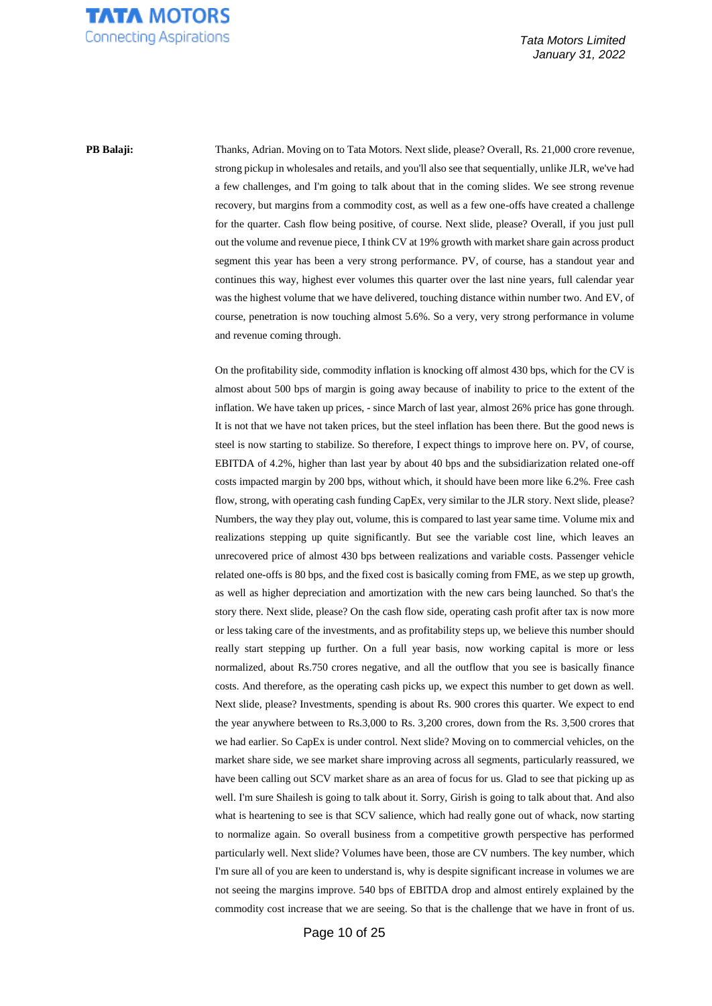

**PB Balaji:** Thanks, Adrian. Moving on to Tata Motors. Next slide, please? Overall, Rs. 21,000 crore revenue, strong pickup in wholesales and retails, and you'll also see that sequentially, unlike JLR, we've had a few challenges, and I'm going to talk about that in the coming slides. We see strong revenue recovery, but margins from a commodity cost, as well as a few one-offs have created a challenge for the quarter. Cash flow being positive, of course. Next slide, please? Overall, if you just pull out the volume and revenue piece, I think CV at 19% growth with market share gain across product segment this year has been a very strong performance. PV, of course, has a standout year and continues this way, highest ever volumes this quarter over the last nine years, full calendar year was the highest volume that we have delivered, touching distance within number two. And EV, of course, penetration is now touching almost 5.6%. So a very, very strong performance in volume and revenue coming through.

> On the profitability side, commodity inflation is knocking off almost 430 bps, which for the CV is almost about 500 bps of margin is going away because of inability to price to the extent of the inflation. We have taken up prices, - since March of last year, almost 26% price has gone through. It is not that we have not taken prices, but the steel inflation has been there. But the good news is steel is now starting to stabilize. So therefore, I expect things to improve here on. PV, of course, EBITDA of 4.2%, higher than last year by about 40 bps and the subsidiarization related one-off costs impacted margin by 200 bps, without which, it should have been more like 6.2%. Free cash flow, strong, with operating cash funding CapEx, very similar to the JLR story. Next slide, please? Numbers, the way they play out, volume, this is compared to last year same time. Volume mix and realizations stepping up quite significantly. But see the variable cost line, which leaves an unrecovered price of almost 430 bps between realizations and variable costs. Passenger vehicle related one-offs is 80 bps, and the fixed cost is basically coming from FME, as we step up growth, as well as higher depreciation and amortization with the new cars being launched. So that's the story there. Next slide, please? On the cash flow side, operating cash profit after tax is now more or less taking care of the investments, and as profitability steps up, we believe this number should really start stepping up further. On a full year basis, now working capital is more or less normalized, about Rs.750 crores negative, and all the outflow that you see is basically finance costs. And therefore, as the operating cash picks up, we expect this number to get down as well. Next slide, please? Investments, spending is about Rs. 900 crores this quarter. We expect to end the year anywhere between to Rs.3,000 to Rs. 3,200 crores, down from the Rs. 3,500 crores that we had earlier. So CapEx is under control. Next slide? Moving on to commercial vehicles, on the market share side, we see market share improving across all segments, particularly reassured, we have been calling out SCV market share as an area of focus for us. Glad to see that picking up as well. I'm sure Shailesh is going to talk about it. Sorry, Girish is going to talk about that. And also what is heartening to see is that SCV salience, which had really gone out of whack, now starting to normalize again. So overall business from a competitive growth perspective has performed particularly well. Next slide? Volumes have been, those are CV numbers. The key number, which I'm sure all of you are keen to understand is, why is despite significant increase in volumes we are not seeing the margins improve. 540 bps of EBITDA drop and almost entirely explained by the commodity cost increase that we are seeing. So that is the challenge that we have in front of us.

> > Page 10 of 25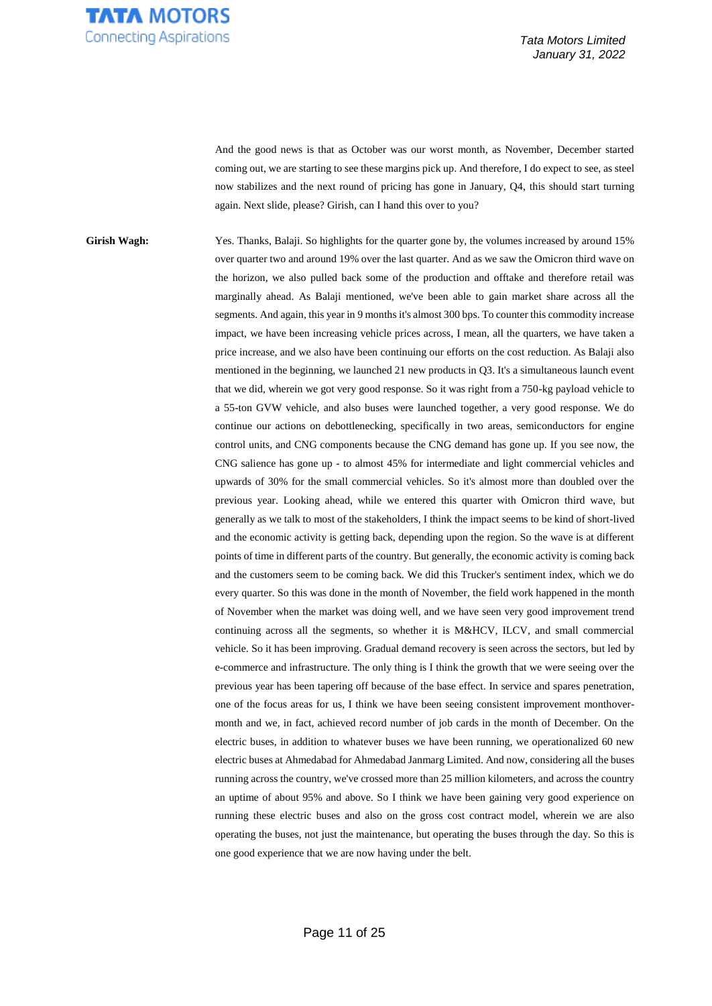

And the good news is that as October was our worst month, as November, December started coming out, we are starting to see these margins pick up. And therefore, I do expect to see, as steel now stabilizes and the next round of pricing has gone in January, Q4, this should start turning again. Next slide, please? Girish, can I hand this over to you?

Girish Wagh: Yes. Thanks, Balaji. So highlights for the quarter gone by, the volumes increased by around 15% over quarter two and around 19% over the last quarter. And as we saw the Omicron third wave on the horizon, we also pulled back some of the production and offtake and therefore retail was marginally ahead. As Balaji mentioned, we've been able to gain market share across all the segments. And again, this year in 9 months it's almost 300 bps. To counter this commodity increase impact, we have been increasing vehicle prices across, I mean, all the quarters, we have taken a price increase, and we also have been continuing our efforts on the cost reduction. As Balaji also mentioned in the beginning, we launched 21 new products in Q3. It's a simultaneous launch event that we did, wherein we got very good response. So it was right from a 750-kg payload vehicle to a 55-ton GVW vehicle, and also buses were launched together, a very good response. We do continue our actions on debottlenecking, specifically in two areas, semiconductors for engine control units, and CNG components because the CNG demand has gone up. If you see now, the CNG salience has gone up - to almost 45% for intermediate and light commercial vehicles and upwards of 30% for the small commercial vehicles. So it's almost more than doubled over the previous year. Looking ahead, while we entered this quarter with Omicron third wave, but generally as we talk to most of the stakeholders, I think the impact seems to be kind of short-lived and the economic activity is getting back, depending upon the region. So the wave is at different points of time in different parts of the country. But generally, the economic activity is coming back and the customers seem to be coming back. We did this Trucker's sentiment index, which we do every quarter. So this was done in the month of November, the field work happened in the month of November when the market was doing well, and we have seen very good improvement trend continuing across all the segments, so whether it is M&HCV, ILCV, and small commercial vehicle. So it has been improving. Gradual demand recovery is seen across the sectors, but led by e-commerce and infrastructure. The only thing is I think the growth that we were seeing over the previous year has been tapering off because of the base effect. In service and spares penetration, one of the focus areas for us, I think we have been seeing consistent improvement monthovermonth and we, in fact, achieved record number of job cards in the month of December. On the electric buses, in addition to whatever buses we have been running, we operationalized 60 new electric buses at Ahmedabad for Ahmedabad Janmarg Limited. And now, considering all the buses running across the country, we've crossed more than 25 million kilometers, and across the country an uptime of about 95% and above. So I think we have been gaining very good experience on running these electric buses and also on the gross cost contract model, wherein we are also operating the buses, not just the maintenance, but operating the buses through the day. So this is one good experience that we are now having under the belt.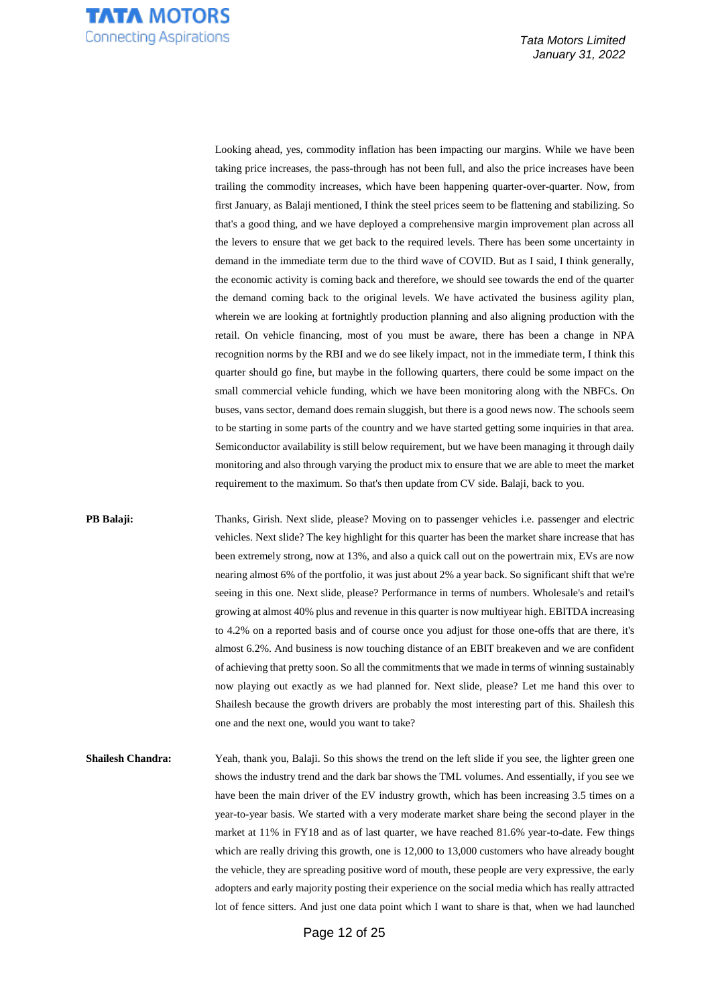

Looking ahead, yes, commodity inflation has been impacting our margins. While we have been taking price increases, the pass-through has not been full, and also the price increases have been trailing the commodity increases, which have been happening quarter-over-quarter. Now, from first January, as Balaji mentioned, I think the steel prices seem to be flattening and stabilizing. So that's a good thing, and we have deployed a comprehensive margin improvement plan across all the levers to ensure that we get back to the required levels. There has been some uncertainty in demand in the immediate term due to the third wave of COVID. But as I said, I think generally, the economic activity is coming back and therefore, we should see towards the end of the quarter the demand coming back to the original levels. We have activated the business agility plan, wherein we are looking at fortnightly production planning and also aligning production with the retail. On vehicle financing, most of you must be aware, there has been a change in NPA recognition norms by the RBI and we do see likely impact, not in the immediate term, I think this quarter should go fine, but maybe in the following quarters, there could be some impact on the small commercial vehicle funding, which we have been monitoring along with the NBFCs. On buses, vans sector, demand does remain sluggish, but there is a good news now. The schools seem to be starting in some parts of the country and we have started getting some inquiries in that area. Semiconductor availability is still below requirement, but we have been managing it through daily monitoring and also through varying the product mix to ensure that we are able to meet the market requirement to the maximum. So that's then update from CV side. Balaji, back to you.

**PB Balaji:** Thanks, Girish. Next slide, please? Moving on to passenger vehicles i.e. passenger and electric vehicles. Next slide? The key highlight for this quarter has been the market share increase that has been extremely strong, now at 13%, and also a quick call out on the powertrain mix, EVs are now nearing almost 6% of the portfolio, it was just about 2% a year back. So significant shift that we're seeing in this one. Next slide, please? Performance in terms of numbers. Wholesale's and retail's growing at almost 40% plus and revenue in this quarter is now multiyear high. EBITDA increasing to 4.2% on a reported basis and of course once you adjust for those one-offs that are there, it's almost 6.2%. And business is now touching distance of an EBIT breakeven and we are confident of achieving that pretty soon. So all the commitments that we made in terms of winning sustainably now playing out exactly as we had planned for. Next slide, please? Let me hand this over to Shailesh because the growth drivers are probably the most interesting part of this. Shailesh this one and the next one, would you want to take?

**Shailesh Chandra:** Yeah, thank you, Balaji. So this shows the trend on the left slide if you see, the lighter green one shows the industry trend and the dark bar shows the TML volumes. And essentially, if you see we have been the main driver of the EV industry growth, which has been increasing 3.5 times on a year-to-year basis. We started with a very moderate market share being the second player in the market at 11% in FY18 and as of last quarter, we have reached 81.6% year-to-date. Few things which are really driving this growth, one is 12,000 to 13,000 customers who have already bought the vehicle, they are spreading positive word of mouth, these people are very expressive, the early adopters and early majority posting their experience on the social media which has really attracted lot of fence sitters. And just one data point which I want to share is that, when we had launched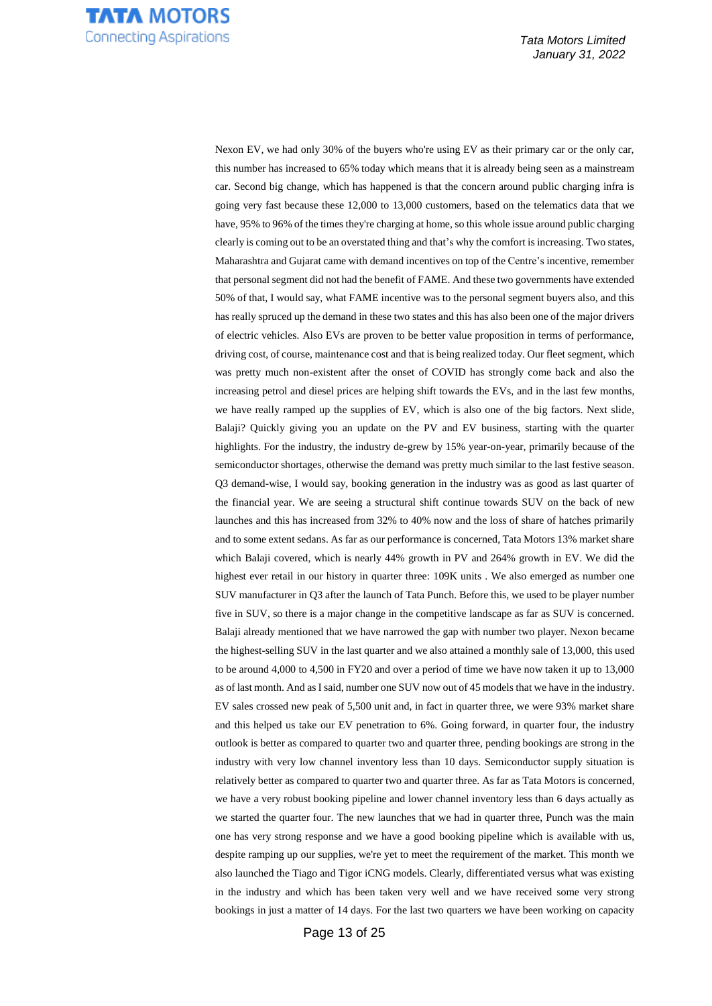

Nexon EV, we had only 30% of the buyers who're using EV as their primary car or the only car, this number has increased to 65% today which means that it is already being seen as a mainstream car. Second big change, which has happened is that the concern around public charging infra is going very fast because these 12,000 to 13,000 customers, based on the telematics data that we have, 95% to 96% of the times they're charging at home, so this whole issue around public charging clearly is coming out to be an overstated thing and that's why the comfort is increasing. Two states, Maharashtra and Gujarat came with demand incentives on top of the Centre's incentive, remember that personal segment did not had the benefit of FAME. And these two governments have extended 50% of that, I would say, what FAME incentive was to the personal segment buyers also, and this has really spruced up the demand in these two states and this has also been one of the major drivers of electric vehicles. Also EVs are proven to be better value proposition in terms of performance, driving cost, of course, maintenance cost and that is being realized today. Our fleet segment, which was pretty much non-existent after the onset of COVID has strongly come back and also the increasing petrol and diesel prices are helping shift towards the EVs, and in the last few months, we have really ramped up the supplies of EV, which is also one of the big factors. Next slide, Balaji? Quickly giving you an update on the PV and EV business, starting with the quarter highlights. For the industry, the industry de-grew by 15% year-on-year, primarily because of the semiconductor shortages, otherwise the demand was pretty much similar to the last festive season. Q3 demand-wise, I would say, booking generation in the industry was as good as last quarter of the financial year. We are seeing a structural shift continue towards SUV on the back of new launches and this has increased from 32% to 40% now and the loss of share of hatches primarily and to some extent sedans. As far as our performance is concerned, Tata Motors 13% market share which Balaji covered, which is nearly 44% growth in PV and 264% growth in EV. We did the highest ever retail in our history in quarter three:  $109K$  units. We also emerged as number one SUV manufacturer in Q3 after the launch of Tata Punch. Before this, we used to be player number five in SUV, so there is a major change in the competitive landscape as far as SUV is concerned. Balaji already mentioned that we have narrowed the gap with number two player. Nexon became the highest-selling SUV in the last quarter and we also attained a monthly sale of 13,000, this used to be around 4,000 to 4,500 in FY20 and over a period of time we have now taken it up to 13,000 as of last month. And as I said, number one SUV now out of 45 models that we have in the industry. EV sales crossed new peak of 5,500 unit and, in fact in quarter three, we were 93% market share and this helped us take our EV penetration to 6%. Going forward, in quarter four, the industry outlook is better as compared to quarter two and quarter three, pending bookings are strong in the industry with very low channel inventory less than 10 days. Semiconductor supply situation is relatively better as compared to quarter two and quarter three. As far as Tata Motors is concerned, we have a very robust booking pipeline and lower channel inventory less than 6 days actually as we started the quarter four. The new launches that we had in quarter three, Punch was the main one has very strong response and we have a good booking pipeline which is available with us, despite ramping up our supplies, we're yet to meet the requirement of the market. This month we also launched the Tiago and Tigor iCNG models. Clearly, differentiated versus what was existing in the industry and which has been taken very well and we have received some very strong bookings in just a matter of 14 days. For the last two quarters we have been working on capacity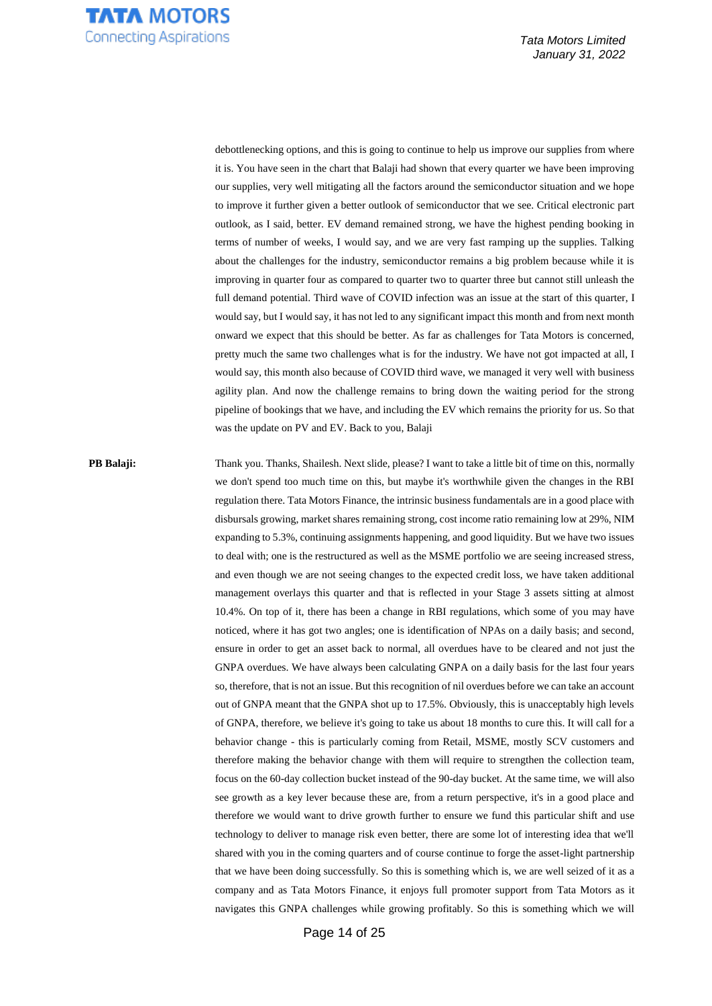

debottlenecking options, and this is going to continue to help us improve our supplies from where it is. You have seen in the chart that Balaji had shown that every quarter we have been improving our supplies, very well mitigating all the factors around the semiconductor situation and we hope to improve it further given a better outlook of semiconductor that we see. Critical electronic part outlook, as I said, better. EV demand remained strong, we have the highest pending booking in terms of number of weeks, I would say, and we are very fast ramping up the supplies. Talking about the challenges for the industry, semiconductor remains a big problem because while it is improving in quarter four as compared to quarter two to quarter three but cannot still unleash the full demand potential. Third wave of COVID infection was an issue at the start of this quarter, I would say, but I would say, it has not led to any significant impact this month and from next month onward we expect that this should be better. As far as challenges for Tata Motors is concerned, pretty much the same two challenges what is for the industry. We have not got impacted at all, I would say, this month also because of COVID third wave, we managed it very well with business agility plan. And now the challenge remains to bring down the waiting period for the strong pipeline of bookings that we have, and including the EV which remains the priority for us. So that was the update on PV and EV. Back to you, Balaji

**PB Balaji:** Thank you. Thanks, Shailesh. Next slide, please? I want to take a little bit of time on this, normally we don't spend too much time on this, but maybe it's worthwhile given the changes in the RBI regulation there. Tata Motors Finance, the intrinsic business fundamentals are in a good place with disbursals growing, market shares remaining strong, cost income ratio remaining low at 29%, NIM expanding to 5.3%, continuing assignments happening, and good liquidity. But we have two issues to deal with; one is the restructured as well as the MSME portfolio we are seeing increased stress, and even though we are not seeing changes to the expected credit loss, we have taken additional management overlays this quarter and that is reflected in your Stage 3 assets sitting at almost 10.4%. On top of it, there has been a change in RBI regulations, which some of you may have noticed, where it has got two angles; one is identification of NPAs on a daily basis; and second, ensure in order to get an asset back to normal, all overdues have to be cleared and not just the GNPA overdues. We have always been calculating GNPA on a daily basis for the last four years so, therefore, that is not an issue. But this recognition of nil overdues before we can take an account out of GNPA meant that the GNPA shot up to 17.5%. Obviously, this is unacceptably high levels of GNPA, therefore, we believe it's going to take us about 18 months to cure this. It will call for a behavior change - this is particularly coming from Retail, MSME, mostly SCV customers and therefore making the behavior change with them will require to strengthen the collection team, focus on the 60-day collection bucket instead of the 90-day bucket. At the same time, we will also see growth as a key lever because these are, from a return perspective, it's in a good place and therefore we would want to drive growth further to ensure we fund this particular shift and use technology to deliver to manage risk even better, there are some lot of interesting idea that we'll shared with you in the coming quarters and of course continue to forge the asset-light partnership that we have been doing successfully. So this is something which is, we are well seized of it as a company and as Tata Motors Finance, it enjoys full promoter support from Tata Motors as it navigates this GNPA challenges while growing profitably. So this is something which we will

Page 14 of 25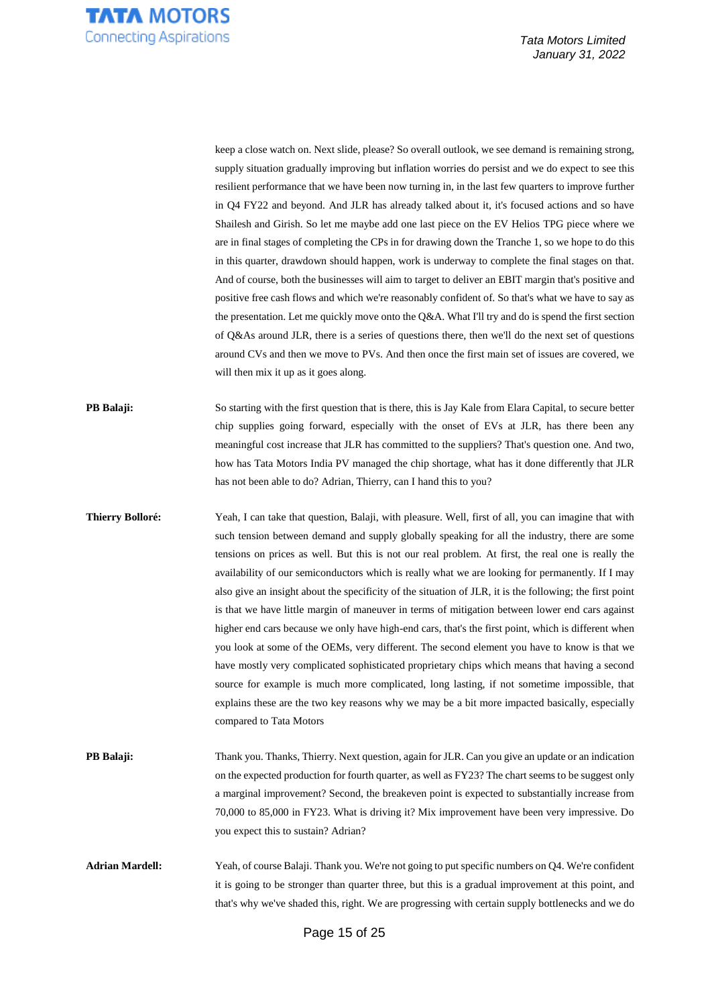

keep a close watch on. Next slide, please? So overall outlook, we see demand is remaining strong, supply situation gradually improving but inflation worries do persist and we do expect to see this resilient performance that we have been now turning in, in the last few quarters to improve further in Q4 FY22 and beyond. And JLR has already talked about it, it's focused actions and so have Shailesh and Girish. So let me maybe add one last piece on the EV Helios TPG piece where we are in final stages of completing the CPs in for drawing down the Tranche 1, so we hope to do this in this quarter, drawdown should happen, work is underway to complete the final stages on that. And of course, both the businesses will aim to target to deliver an EBIT margin that's positive and positive free cash flows and which we're reasonably confident of. So that's what we have to say as the presentation. Let me quickly move onto the Q&A. What I'll try and do is spend the first section of Q&As around JLR, there is a series of questions there, then we'll do the next set of questions around CVs and then we move to PVs. And then once the first main set of issues are covered, we will then mix it up as it goes along.

**PB Balaji:** So starting with the first question that is there, this is Jay Kale from Elara Capital, to secure better chip supplies going forward, especially with the onset of EVs at JLR, has there been any meaningful cost increase that JLR has committed to the suppliers? That's question one. And two, how has Tata Motors India PV managed the chip shortage, what has it done differently that JLR has not been able to do? Adrian, Thierry, can I hand this to you?

**Thierry Bolloré:** Yeah, I can take that question, Balaji, with pleasure. Well, first of all, you can imagine that with such tension between demand and supply globally speaking for all the industry, there are some tensions on prices as well. But this is not our real problem. At first, the real one is really the availability of our semiconductors which is really what we are looking for permanently. If I may also give an insight about the specificity of the situation of JLR, it is the following; the first point is that we have little margin of maneuver in terms of mitigation between lower end cars against higher end cars because we only have high-end cars, that's the first point, which is different when you look at some of the OEMs, very different. The second element you have to know is that we have mostly very complicated sophisticated proprietary chips which means that having a second source for example is much more complicated, long lasting, if not sometime impossible, that explains these are the two key reasons why we may be a bit more impacted basically, especially compared to Tata Motors

**PB Balaji:** Thank you. Thanks, Thierry. Next question, again for JLR. Can you give an update or an indication on the expected production for fourth quarter, as well as FY23? The chart seems to be suggest only a marginal improvement? Second, the breakeven point is expected to substantially increase from 70,000 to 85,000 in FY23. What is driving it? Mix improvement have been very impressive. Do you expect this to sustain? Adrian?

Adrian Mardell: Yeah, of course Balaji. Thank you. We're not going to put specific numbers on Q4. We're confident it is going to be stronger than quarter three, but this is a gradual improvement at this point, and that's why we've shaded this, right. We are progressing with certain supply bottlenecks and we do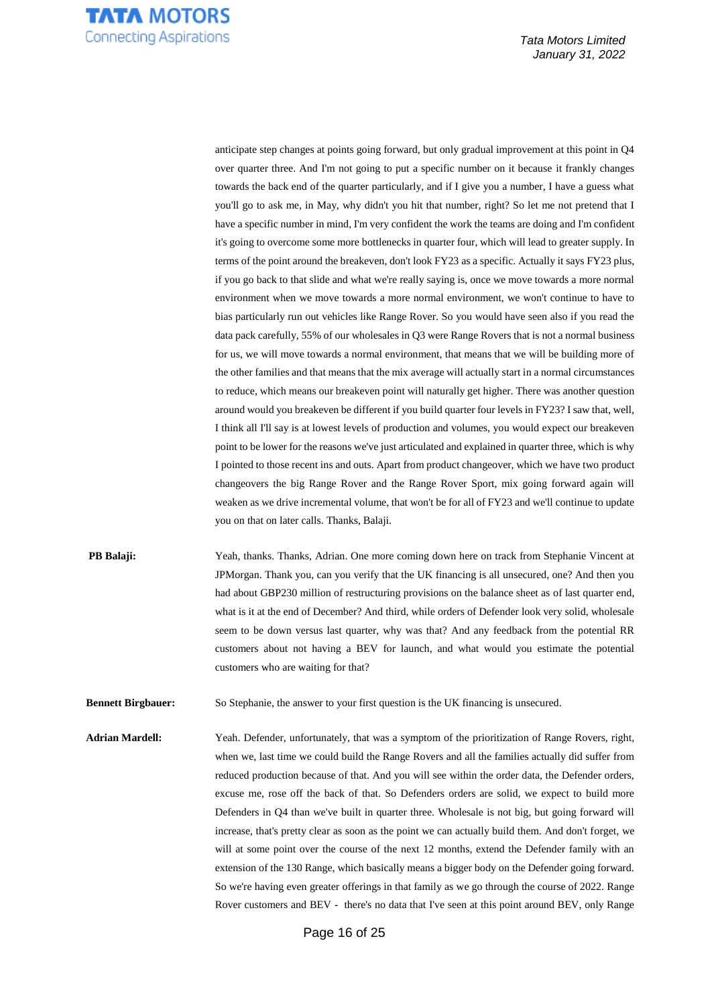

anticipate step changes at points going forward, but only gradual improvement at this point in Q4 over quarter three. And I'm not going to put a specific number on it because it frankly changes towards the back end of the quarter particularly, and if I give you a number, I have a guess what you'll go to ask me, in May, why didn't you hit that number, right? So let me not pretend that I have a specific number in mind, I'm very confident the work the teams are doing and I'm confident it's going to overcome some more bottlenecks in quarter four, which will lead to greater supply. In terms of the point around the breakeven, don't look FY23 as a specific. Actually it says FY23 plus, if you go back to that slide and what we're really saying is, once we move towards a more normal environment when we move towards a more normal environment, we won't continue to have to bias particularly run out vehicles like Range Rover. So you would have seen also if you read the data pack carefully, 55% of our wholesales in Q3 were Range Rovers that is not a normal business for us, we will move towards a normal environment, that means that we will be building more of the other families and that means that the mix average will actually start in a normal circumstances to reduce, which means our breakeven point will naturally get higher. There was another question around would you breakeven be different if you build quarter four levels in FY23? I saw that, well, I think all I'll say is at lowest levels of production and volumes, you would expect our breakeven point to be lower for the reasons we've just articulated and explained in quarter three, which is why I pointed to those recent ins and outs. Apart from product changeover, which we have two product changeovers the big Range Rover and the Range Rover Sport, mix going forward again will weaken as we drive incremental volume, that won't be for all of FY23 and we'll continue to update you on that on later calls. Thanks, Balaji.

**PB Balaji:** Yeah, thanks. Thanks, Adrian. One more coming down here on track from Stephanie Vincent at JPMorgan. Thank you, can you verify that the UK financing is all unsecured, one? And then you had about GBP230 million of restructuring provisions on the balance sheet as of last quarter end, what is it at the end of December? And third, while orders of Defender look very solid, wholesale seem to be down versus last quarter, why was that? And any feedback from the potential RR customers about not having a BEV for launch, and what would you estimate the potential customers who are waiting for that?

**Bennett Birgbauer:** So Stephanie, the answer to your first question is the UK financing is unsecured.

**Adrian Mardell:** Yeah. Defender, unfortunately, that was a symptom of the prioritization of Range Rovers, right, when we, last time we could build the Range Rovers and all the families actually did suffer from reduced production because of that. And you will see within the order data, the Defender orders, excuse me, rose off the back of that. So Defenders orders are solid, we expect to build more Defenders in Q4 than we've built in quarter three. Wholesale is not big, but going forward will increase, that's pretty clear as soon as the point we can actually build them. And don't forget, we will at some point over the course of the next 12 months, extend the Defender family with an extension of the 130 Range, which basically means a bigger body on the Defender going forward. So we're having even greater offerings in that family as we go through the course of 2022. Range Rover customers and BEV - there's no data that I've seen at this point around BEV, only Range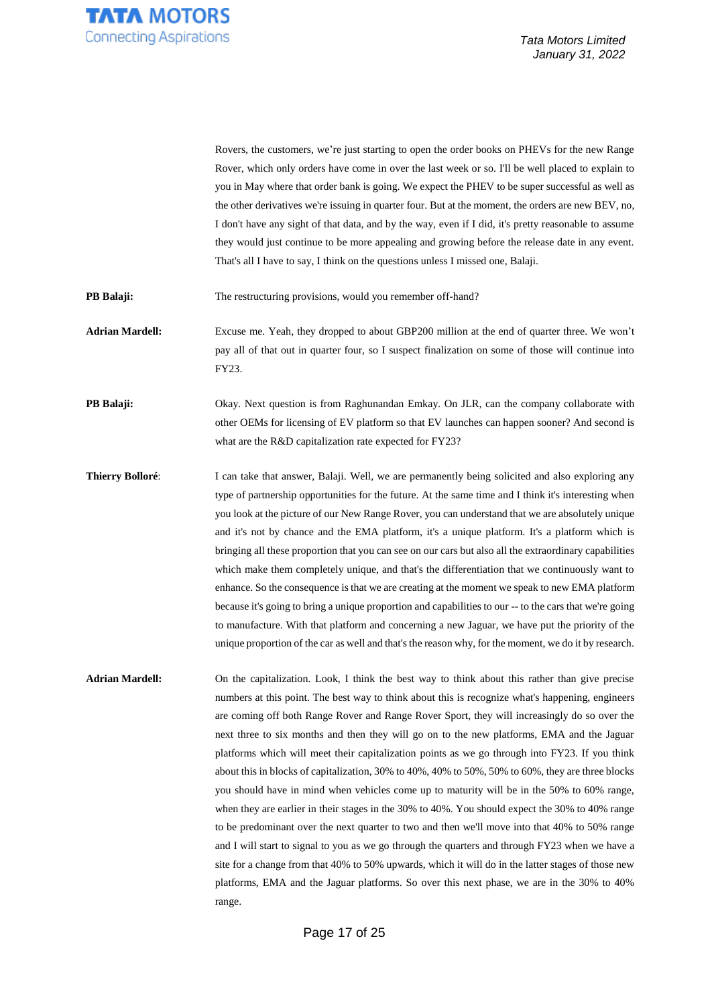

Rovers, the customers, we're just starting to open the order books on PHEVs for the new Range Rover, which only orders have come in over the last week or so. I'll be well placed to explain to you in May where that order bank is going. We expect the PHEV to be super successful as well as the other derivatives we're issuing in quarter four. But at the moment, the orders are new BEV, no, I don't have any sight of that data, and by the way, even if I did, it's pretty reasonable to assume they would just continue to be more appealing and growing before the release date in any event. That's all I have to say, I think on the questions unless I missed one, Balaji.

**PB Balaji:** The restructuring provisions, would you remember off-hand?

**Adrian Mardell:** Excuse me. Yeah, they dropped to about GBP200 million at the end of quarter three. We won't pay all of that out in quarter four, so I suspect finalization on some of those will continue into FY23.

**PB Balaji:** Okay. Next question is from Raghunandan Emkay. On JLR, can the company collaborate with other OEMs for licensing of EV platform so that EV launches can happen sooner? And second is what are the R&D capitalization rate expected for FY23?

**Thierry Bolloré:** I can take that answer, Balaji. Well, we are permanently being solicited and also exploring any type of partnership opportunities for the future. At the same time and I think it's interesting when you look at the picture of our New Range Rover, you can understand that we are absolutely unique and it's not by chance and the EMA platform, it's a unique platform. It's a platform which is bringing all these proportion that you can see on our cars but also all the extraordinary capabilities which make them completely unique, and that's the differentiation that we continuously want to enhance. So the consequence is that we are creating at the moment we speak to new EMA platform because it's going to bring a unique proportion and capabilities to our -- to the cars that we're going to manufacture. With that platform and concerning a new Jaguar, we have put the priority of the unique proportion of the car as well and that's the reason why, for the moment, we do it by research.

**Adrian Mardell:** On the capitalization. Look, I think the best way to think about this rather than give precise numbers at this point. The best way to think about this is recognize what's happening, engineers are coming off both Range Rover and Range Rover Sport, they will increasingly do so over the next three to six months and then they will go on to the new platforms, EMA and the Jaguar platforms which will meet their capitalization points as we go through into FY23. If you think about this in blocks of capitalization, 30% to 40%, 40% to 50%, 50% to 60%, they are three blocks you should have in mind when vehicles come up to maturity will be in the 50% to 60% range, when they are earlier in their stages in the 30% to 40%. You should expect the 30% to 40% range to be predominant over the next quarter to two and then we'll move into that 40% to 50% range and I will start to signal to you as we go through the quarters and through FY23 when we have a site for a change from that 40% to 50% upwards, which it will do in the latter stages of those new platforms, EMA and the Jaguar platforms. So over this next phase, we are in the 30% to 40% range.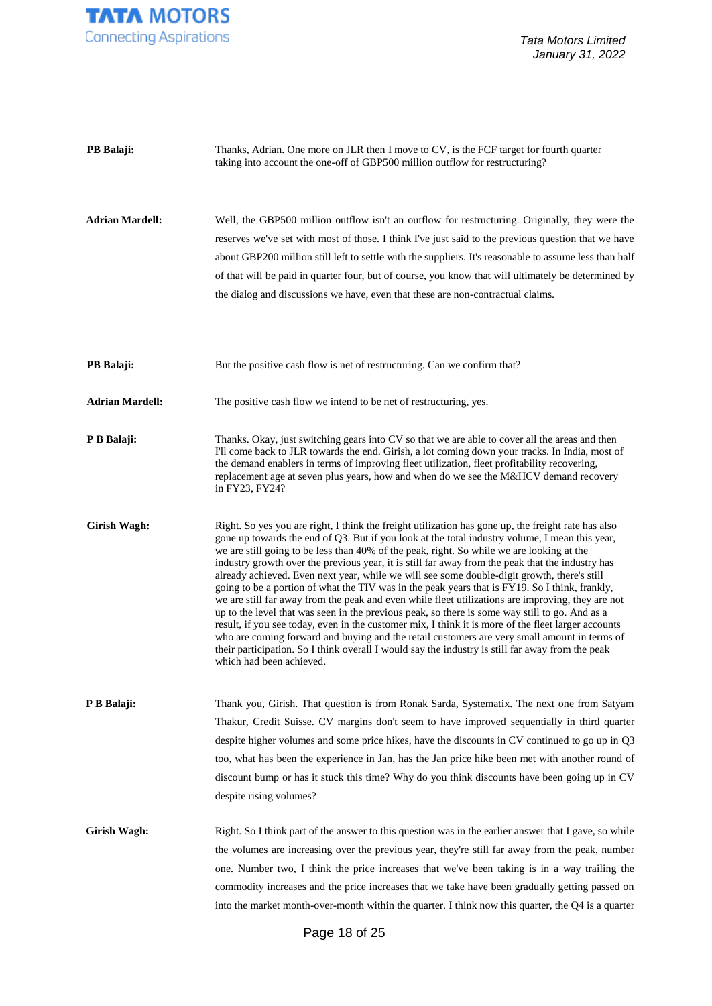

| PB Balaji:             | Thanks, Adrian. One more on JLR then I move to CV, is the FCF target for fourth quarter<br>taking into account the one-off of GBP500 million outflow for restructuring?                                                                                                                                                                                                                                                                                                                                                                                                                                                                                                                                                                                                                                                                                                                                                                                                                                                                                                                                                                               |
|------------------------|-------------------------------------------------------------------------------------------------------------------------------------------------------------------------------------------------------------------------------------------------------------------------------------------------------------------------------------------------------------------------------------------------------------------------------------------------------------------------------------------------------------------------------------------------------------------------------------------------------------------------------------------------------------------------------------------------------------------------------------------------------------------------------------------------------------------------------------------------------------------------------------------------------------------------------------------------------------------------------------------------------------------------------------------------------------------------------------------------------------------------------------------------------|
| <b>Adrian Mardell:</b> | Well, the GBP500 million outflow isn't an outflow for restructuring. Originally, they were the<br>reserves we've set with most of those. I think I've just said to the previous question that we have<br>about GBP200 million still left to settle with the suppliers. It's reasonable to assume less than half<br>of that will be paid in quarter four, but of course, you know that will ultimately be determined by<br>the dialog and discussions we have, even that these are non-contractual claims.                                                                                                                                                                                                                                                                                                                                                                                                                                                                                                                                                                                                                                             |
| PB Balaji:             | But the positive cash flow is net of restructuring. Can we confirm that?                                                                                                                                                                                                                                                                                                                                                                                                                                                                                                                                                                                                                                                                                                                                                                                                                                                                                                                                                                                                                                                                              |
| <b>Adrian Mardell:</b> | The positive cash flow we intend to be net of restructuring, yes.                                                                                                                                                                                                                                                                                                                                                                                                                                                                                                                                                                                                                                                                                                                                                                                                                                                                                                                                                                                                                                                                                     |
| P B Balaji:            | Thanks. Okay, just switching gears into CV so that we are able to cover all the areas and then<br>I'll come back to JLR towards the end. Girish, a lot coming down your tracks. In India, most of<br>the demand enablers in terms of improving fleet utilization, fleet profitability recovering,<br>replacement age at seven plus years, how and when do we see the M&HCV demand recovery<br>in FY23, FY24?                                                                                                                                                                                                                                                                                                                                                                                                                                                                                                                                                                                                                                                                                                                                          |
| <b>Girish Wagh:</b>    | Right. So yes you are right, I think the freight utilization has gone up, the freight rate has also<br>gone up towards the end of Q3. But if you look at the total industry volume, I mean this year,<br>we are still going to be less than 40% of the peak, right. So while we are looking at the<br>industry growth over the previous year, it is still far away from the peak that the industry has<br>already achieved. Even next year, while we will see some double-digit growth, there's still<br>going to be a portion of what the TIV was in the peak years that is FY19. So I think, frankly,<br>we are still far away from the peak and even while fleet utilizations are improving, they are not<br>up to the level that was seen in the previous peak, so there is some way still to go. And as a<br>result, if you see today, even in the customer mix, I think it is more of the fleet larger accounts<br>who are coming forward and buying and the retail customers are very small amount in terms of<br>their participation. So I think overall I would say the industry is still far away from the peak<br>which had been achieved. |
| P B Balaji:            | Thank you, Girish. That question is from Ronak Sarda, Systematix. The next one from Satyam<br>Thakur, Credit Suisse. CV margins don't seem to have improved sequentially in third quarter<br>despite higher volumes and some price hikes, have the discounts in CV continued to go up in Q3<br>too, what has been the experience in Jan, has the Jan price hike been met with another round of<br>discount bump or has it stuck this time? Why do you think discounts have been going up in CV<br>despite rising volumes?                                                                                                                                                                                                                                                                                                                                                                                                                                                                                                                                                                                                                             |
| Girish Wagh:           | Right. So I think part of the answer to this question was in the earlier answer that I gave, so while<br>the volumes are increasing over the previous year, they're still far away from the peak, number<br>one. Number two, I think the price increases that we've been taking is in a way trailing the<br>commodity increases and the price increases that we take have been gradually getting passed on<br>into the market month-over-month within the quarter. I think now this quarter, the Q4 is a quarter                                                                                                                                                                                                                                                                                                                                                                                                                                                                                                                                                                                                                                      |

Page 18 of 25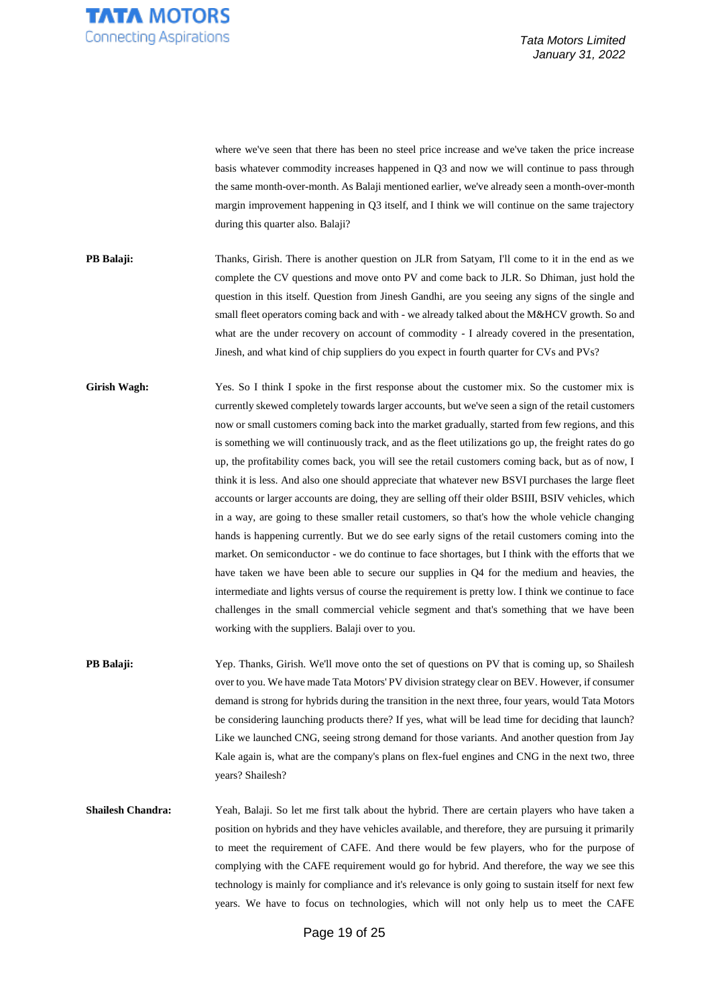

where we've seen that there has been no steel price increase and we've taken the price increase basis whatever commodity increases happened in Q3 and now we will continue to pass through the same month-over-month. As Balaji mentioned earlier, we've already seen a month-over-month margin improvement happening in Q3 itself, and I think we will continue on the same trajectory during this quarter also. Balaji?

- **PB Balaji:** Thanks, Girish. There is another question on JLR from Satyam, I'll come to it in the end as we complete the CV questions and move onto PV and come back to JLR. So Dhiman, just hold the question in this itself. Question from Jinesh Gandhi, are you seeing any signs of the single and small fleet operators coming back and with - we already talked about the M&HCV growth. So and what are the under recovery on account of commodity - I already covered in the presentation, Jinesh, and what kind of chip suppliers do you expect in fourth quarter for CVs and PVs?
- Girish Wagh: Yes. So I think I spoke in the first response about the customer mix. So the customer mix is currently skewed completely towards larger accounts, but we've seen a sign of the retail customers now or small customers coming back into the market gradually, started from few regions, and this is something we will continuously track, and as the fleet utilizations go up, the freight rates do go up, the profitability comes back, you will see the retail customers coming back, but as of now, I think it is less. And also one should appreciate that whatever new BSVI purchases the large fleet accounts or larger accounts are doing, they are selling off their older BSIII, BSIV vehicles, which in a way, are going to these smaller retail customers, so that's how the whole vehicle changing hands is happening currently. But we do see early signs of the retail customers coming into the market. On semiconductor - we do continue to face shortages, but I think with the efforts that we have taken we have been able to secure our supplies in Q4 for the medium and heavies, the intermediate and lights versus of course the requirement is pretty low. I think we continue to face challenges in the small commercial vehicle segment and that's something that we have been working with the suppliers. Balaji over to you.
- **PB Balaji:** Yep. Thanks, Girish. We'll move onto the set of questions on PV that is coming up, so Shailesh over to you. We have made Tata Motors' PV division strategy clear on BEV. However, if consumer demand is strong for hybrids during the transition in the next three, four years, would Tata Motors be considering launching products there? If yes, what will be lead time for deciding that launch? Like we launched CNG, seeing strong demand for those variants. And another question from Jay Kale again is, what are the company's plans on flex-fuel engines and CNG in the next two, three years? Shailesh?
- **Shailesh Chandra:** Yeah, Balaji. So let me first talk about the hybrid. There are certain players who have taken a position on hybrids and they have vehicles available, and therefore, they are pursuing it primarily to meet the requirement of CAFE. And there would be few players, who for the purpose of complying with the CAFE requirement would go for hybrid. And therefore, the way we see this technology is mainly for compliance and it's relevance is only going to sustain itself for next few years. We have to focus on technologies, which will not only help us to meet the CAFE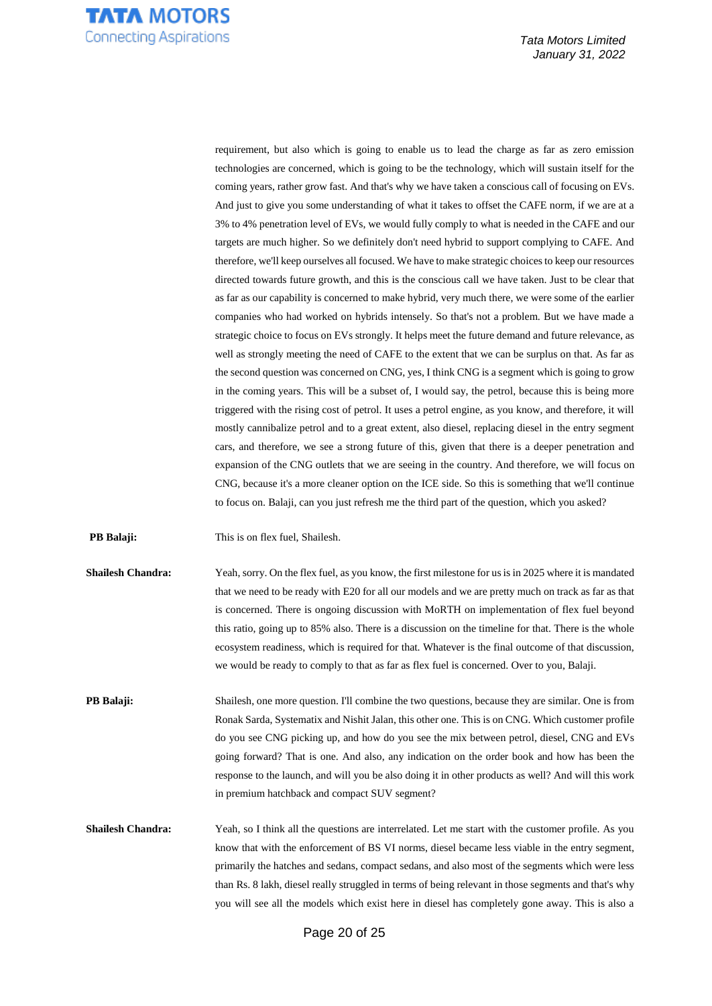

requirement, but also which is going to enable us to lead the charge as far as zero emission technologies are concerned, which is going to be the technology, which will sustain itself for the coming years, rather grow fast. And that's why we have taken a conscious call of focusing on EVs. And just to give you some understanding of what it takes to offset the CAFE norm, if we are at a 3% to 4% penetration level of EVs, we would fully comply to what is needed in the CAFE and our targets are much higher. So we definitely don't need hybrid to support complying to CAFE. And therefore, we'll keep ourselves all focused. We have to make strategic choices to keep our resources directed towards future growth, and this is the conscious call we have taken. Just to be clear that as far as our capability is concerned to make hybrid, very much there, we were some of the earlier companies who had worked on hybrids intensely. So that's not a problem. But we have made a strategic choice to focus on EVs strongly. It helps meet the future demand and future relevance, as well as strongly meeting the need of CAFE to the extent that we can be surplus on that. As far as the second question was concerned on CNG, yes, I think CNG is a segment which is going to grow in the coming years. This will be a subset of, I would say, the petrol, because this is being more triggered with the rising cost of petrol. It uses a petrol engine, as you know, and therefore, it will mostly cannibalize petrol and to a great extent, also diesel, replacing diesel in the entry segment cars, and therefore, we see a strong future of this, given that there is a deeper penetration and expansion of the CNG outlets that we are seeing in the country. And therefore, we will focus on CNG, because it's a more cleaner option on the ICE side. So this is something that we'll continue to focus on. Balaji, can you just refresh me the third part of the question, which you asked?

**PB Balaji:** This is on flex fuel, Shailesh.

**Shailesh Chandra:** Yeah, sorry. On the flex fuel, as you know, the first milestone for us is in 2025 where it is mandated that we need to be ready with E20 for all our models and we are pretty much on track as far as that is concerned. There is ongoing discussion with MoRTH on implementation of flex fuel beyond this ratio, going up to 85% also. There is a discussion on the timeline for that. There is the whole ecosystem readiness, which is required for that. Whatever is the final outcome of that discussion, we would be ready to comply to that as far as flex fuel is concerned. Over to you, Balaji.

**PB Balaji:** Shailesh, one more question. I'll combine the two questions, because they are similar. One is from Ronak Sarda, Systematix and Nishit Jalan, this other one. This is on CNG. Which customer profile do you see CNG picking up, and how do you see the mix between petrol, diesel, CNG and EVs going forward? That is one. And also, any indication on the order book and how has been the response to the launch, and will you be also doing it in other products as well? And will this work in premium hatchback and compact SUV segment?

**Shailesh Chandra:** Yeah, so I think all the questions are interrelated. Let me start with the customer profile. As you know that with the enforcement of BS VI norms, diesel became less viable in the entry segment, primarily the hatches and sedans, compact sedans, and also most of the segments which were less than Rs. 8 lakh, diesel really struggled in terms of being relevant in those segments and that's why you will see all the models which exist here in diesel has completely gone away. This is also a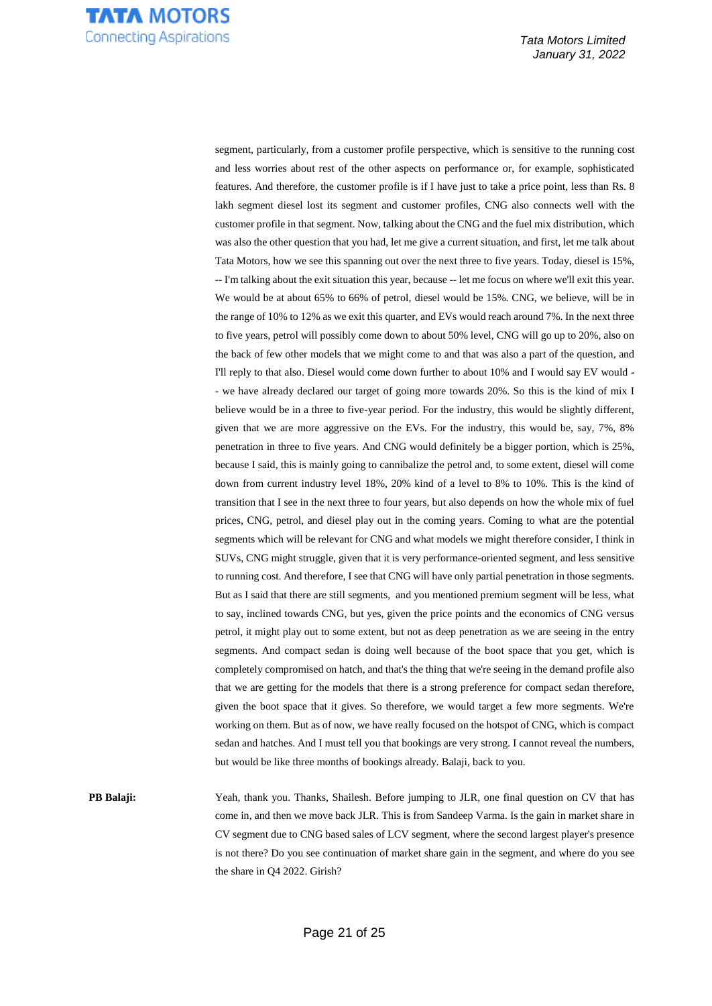segment, particularly, from a customer profile perspective, which is sensitive to the running cost and less worries about rest of the other aspects on performance or, for example, sophisticated features. And therefore, the customer profile is if I have just to take a price point, less than Rs. 8 lakh segment diesel lost its segment and customer profiles, CNG also connects well with the customer profile in that segment. Now, talking about the CNG and the fuel mix distribution, which was also the other question that you had, let me give a current situation, and first, let me talk about Tata Motors, how we see this spanning out over the next three to five years. Today, diesel is 15%, -- I'm talking about the exit situation this year, because -- let me focus on where we'll exit this year. We would be at about 65% to 66% of petrol, diesel would be 15%. CNG, we believe, will be in the range of 10% to 12% as we exit this quarter, and EVs would reach around 7%. In the next three to five years, petrol will possibly come down to about 50% level, CNG will go up to 20%, also on the back of few other models that we might come to and that was also a part of the question, and I'll reply to that also. Diesel would come down further to about 10% and I would say EV would - - we have already declared our target of going more towards 20%. So this is the kind of mix I believe would be in a three to five-year period. For the industry, this would be slightly different, given that we are more aggressive on the EVs. For the industry, this would be, say, 7%, 8% penetration in three to five years. And CNG would definitely be a bigger portion, which is 25%, because I said, this is mainly going to cannibalize the petrol and, to some extent, diesel will come down from current industry level 18%, 20% kind of a level to 8% to 10%. This is the kind of transition that I see in the next three to four years, but also depends on how the whole mix of fuel prices, CNG, petrol, and diesel play out in the coming years. Coming to what are the potential segments which will be relevant for CNG and what models we might therefore consider, I think in SUVs, CNG might struggle, given that it is very performance-oriented segment, and less sensitive to running cost. And therefore, I see that CNG will have only partial penetration in those segments. But as I said that there are still segments, and you mentioned premium segment will be less, what to say, inclined towards CNG, but yes, given the price points and the economics of CNG versus petrol, it might play out to some extent, but not as deep penetration as we are seeing in the entry segments. And compact sedan is doing well because of the boot space that you get, which is completely compromised on hatch, and that's the thing that we're seeing in the demand profile also that we are getting for the models that there is a strong preference for compact sedan therefore, given the boot space that it gives. So therefore, we would target a few more segments. We're working on them. But as of now, we have really focused on the hotspot of CNG, which is compact sedan and hatches. And I must tell you that bookings are very strong. I cannot reveal the numbers, but would be like three months of bookings already. Balaji, back to you.

**PB Balaji:** Yeah, thank you. Thanks, Shailesh. Before jumping to JLR, one final question on CV that has come in, and then we move back JLR. This is from Sandeep Varma. Is the gain in market share in CV segment due to CNG based sales of LCV segment, where the second largest player's presence is not there? Do you see continuation of market share gain in the segment, and where do you see the share in Q4 2022. Girish?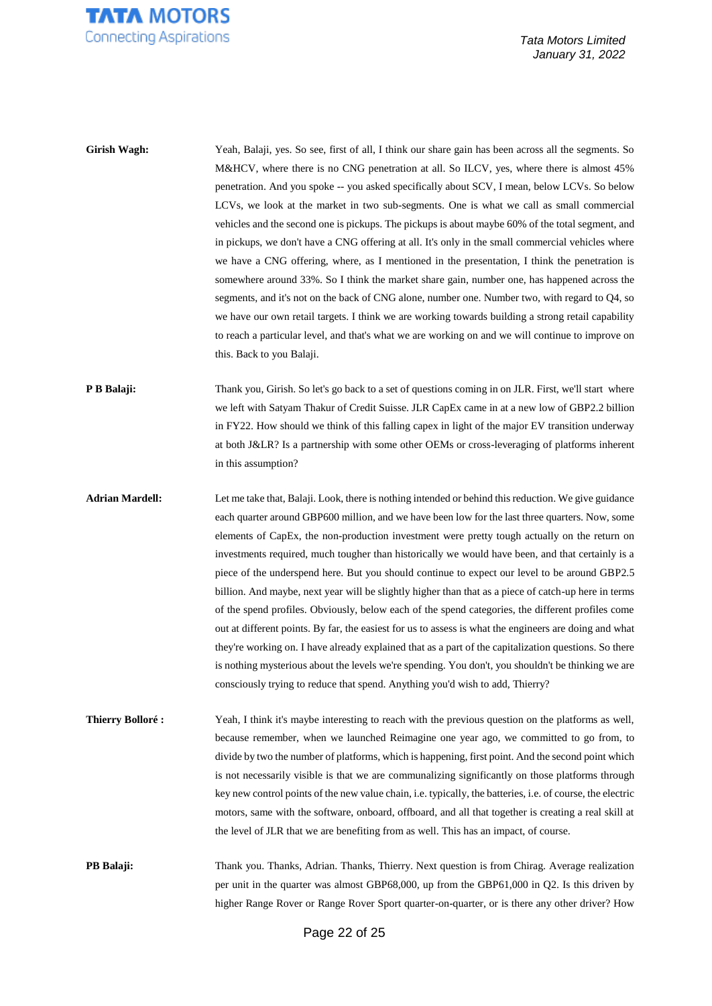

| Girish Wagh:            | Yeah, Balaji, yes. So see, first of all, I think our share gain has been across all the segments. So<br>M&HCV, where there is no CNG penetration at all. So ILCV, yes, where there is almost 45%<br>penetration. And you spoke -- you asked specifically about SCV, I mean, below LCVs. So below<br>LCVs, we look at the market in two sub-segments. One is what we call as small commercial<br>vehicles and the second one is pickups. The pickups is about maybe 60% of the total segment, and<br>in pickups, we don't have a CNG offering at all. It's only in the small commercial vehicles where<br>we have a CNG offering, where, as I mentioned in the presentation, I think the penetration is<br>somewhere around 33%. So I think the market share gain, number one, has happened across the<br>segments, and it's not on the back of CNG alone, number one. Number two, with regard to Q4, so<br>we have our own retail targets. I think we are working towards building a strong retail capability<br>to reach a particular level, and that's what we are working on and we will continue to improve on<br>this. Back to you Balaji. |
|-------------------------|-------------------------------------------------------------------------------------------------------------------------------------------------------------------------------------------------------------------------------------------------------------------------------------------------------------------------------------------------------------------------------------------------------------------------------------------------------------------------------------------------------------------------------------------------------------------------------------------------------------------------------------------------------------------------------------------------------------------------------------------------------------------------------------------------------------------------------------------------------------------------------------------------------------------------------------------------------------------------------------------------------------------------------------------------------------------------------------------------------------------------------------------------|
| P B Balaji:             | Thank you, Girish. So let's go back to a set of questions coming in on JLR. First, we'll start where<br>we left with Satyam Thakur of Credit Suisse. JLR CapEx came in at a new low of GBP2.2 billion<br>in FY22. How should we think of this falling capex in light of the major EV transition underway<br>at both J&LR? Is a partnership with some other OEMs or cross-leveraging of platforms inherent<br>in this assumption?                                                                                                                                                                                                                                                                                                                                                                                                                                                                                                                                                                                                                                                                                                                |
| <b>Adrian Mardell:</b>  | Let me take that, Balaji. Look, there is nothing intended or behind this reduction. We give guidance<br>each quarter around GBP600 million, and we have been low for the last three quarters. Now, some<br>elements of CapEx, the non-production investment were pretty tough actually on the return on<br>investments required, much tougher than historically we would have been, and that certainly is a<br>piece of the underspend here. But you should continue to expect our level to be around GBP2.5<br>billion. And maybe, next year will be slightly higher than that as a piece of catch-up here in terms<br>of the spend profiles. Obviously, below each of the spend categories, the different profiles come<br>out at different points. By far, the easiest for us to assess is what the engineers are doing and what<br>they're working on. I have already explained that as a part of the capitalization questions. So there<br>is nothing mysterious about the levels we're spending. You don't, you shouldn't be thinking we are<br>consciously trying to reduce that spend. Anything you'd wish to add, Thierry?             |
| <b>Thierry Bolloré:</b> | Yeah, I think it's maybe interesting to reach with the previous question on the platforms as well,<br>because remember, when we launched Reimagine one year ago, we committed to go from, to<br>divide by two the number of platforms, which is happening, first point. And the second point which<br>is not necessarily visible is that we are communalizing significantly on those platforms through<br>key new control points of the new value chain, i.e. typically, the batteries, i.e. of course, the electric<br>motors, same with the software, onboard, offboard, and all that together is creating a real skill at<br>the level of JLR that we are benefiting from as well. This has an impact, of course.                                                                                                                                                                                                                                                                                                                                                                                                                            |
| PB Balaji:              | Thank you. Thanks, Adrian. Thanks, Thierry. Next question is from Chirag. Average realization<br>per unit in the quarter was almost GBP68,000, up from the GBP61,000 in Q2. Is this driven by<br>higher Range Rover or Range Rover Sport quarter-on-quarter, or is there any other driver? How                                                                                                                                                                                                                                                                                                                                                                                                                                                                                                                                                                                                                                                                                                                                                                                                                                                  |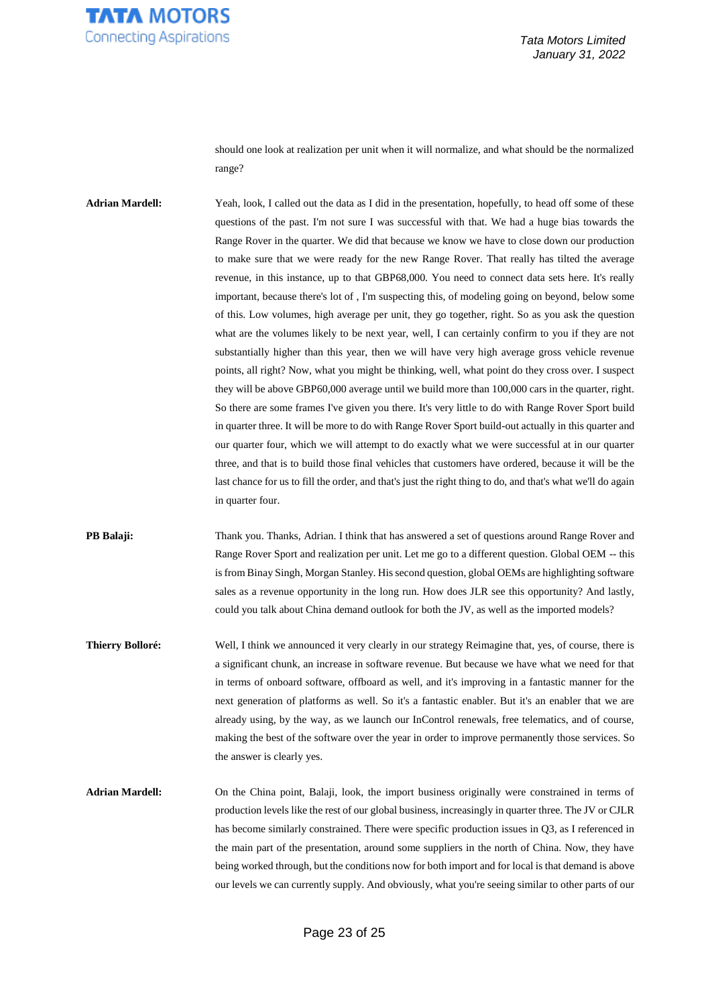

should one look at realization per unit when it will normalize, and what should be the normalized range?

**Adrian Mardell:** Yeah, look, I called out the data as I did in the presentation, hopefully, to head off some of these questions of the past. I'm not sure I was successful with that. We had a huge bias towards the Range Rover in the quarter. We did that because we know we have to close down our production to make sure that we were ready for the new Range Rover. That really has tilted the average revenue, in this instance, up to that GBP68,000. You need to connect data sets here. It's really important, because there's lot of , I'm suspecting this, of modeling going on beyond, below some of this. Low volumes, high average per unit, they go together, right. So as you ask the question what are the volumes likely to be next year, well, I can certainly confirm to you if they are not substantially higher than this year, then we will have very high average gross vehicle revenue points, all right? Now, what you might be thinking, well, what point do they cross over. I suspect they will be above GBP60,000 average until we build more than 100,000 cars in the quarter, right. So there are some frames I've given you there. It's very little to do with Range Rover Sport build in quarter three. It will be more to do with Range Rover Sport build-out actually in this quarter and our quarter four, which we will attempt to do exactly what we were successful at in our quarter three, and that is to build those final vehicles that customers have ordered, because it will be the last chance for us to fill the order, and that's just the right thing to do, and that's what we'll do again in quarter four.

**PB Balaji:** Thank you. Thanks, Adrian. I think that has answered a set of questions around Range Rover and Range Rover Sport and realization per unit. Let me go to a different question. Global OEM -- this is from Binay Singh, Morgan Stanley. His second question, global OEMs are highlighting software sales as a revenue opportunity in the long run. How does JLR see this opportunity? And lastly, could you talk about China demand outlook for both the JV, as well as the imported models?

**Thierry Bolloré:** Well, I think we announced it very clearly in our strategy Reimagine that, yes, of course, there is a significant chunk, an increase in software revenue. But because we have what we need for that in terms of onboard software, offboard as well, and it's improving in a fantastic manner for the next generation of platforms as well. So it's a fantastic enabler. But it's an enabler that we are already using, by the way, as we launch our InControl renewals, free telematics, and of course, making the best of the software over the year in order to improve permanently those services. So the answer is clearly yes.

**Adrian Mardell:** On the China point, Balaji, look, the import business originally were constrained in terms of production levels like the rest of our global business, increasingly in quarter three. The JV or CJLR has become similarly constrained. There were specific production issues in Q3, as I referenced in the main part of the presentation, around some suppliers in the north of China. Now, they have being worked through, but the conditions now for both import and for local is that demand is above our levels we can currently supply. And obviously, what you're seeing similar to other parts of our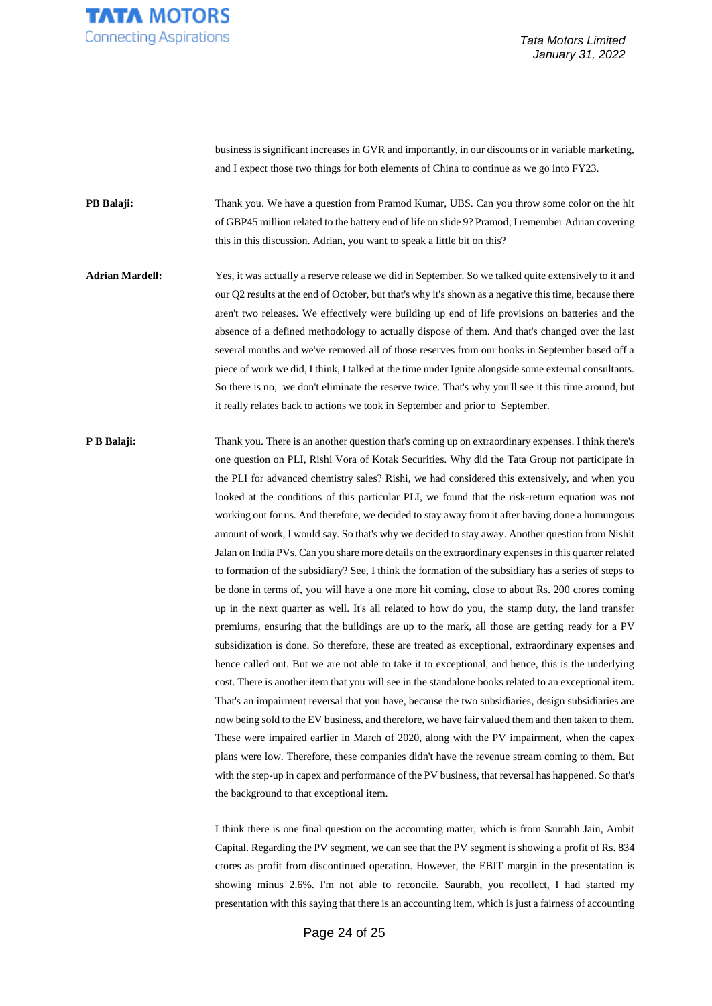

business is significant increases in GVR and importantly, in our discounts or in variable marketing, and I expect those two things for both elements of China to continue as we go into FY23.

**PB Balaji:** Thank you. We have a question from Pramod Kumar, UBS. Can you throw some color on the hit of GBP45 million related to the battery end of life on slide 9? Pramod, I remember Adrian covering this in this discussion. Adrian, you want to speak a little bit on this?

**Adrian Mardell:** Yes, it was actually a reserve release we did in September. So we talked quite extensively to it and our Q2 results at the end of October, but that's why it's shown as a negative this time, because there aren't two releases. We effectively were building up end of life provisions on batteries and the absence of a defined methodology to actually dispose of them. And that's changed over the last several months and we've removed all of those reserves from our books in September based off a piece of work we did, I think, I talked at the time under Ignite alongside some external consultants. So there is no, we don't eliminate the reserve twice. That's why you'll see it this time around, but it really relates back to actions we took in September and prior to September.

**P B Balaji:** Thank you. There is an another question that's coming up on extraordinary expenses. I think there's one question on PLI, Rishi Vora of Kotak Securities. Why did the Tata Group not participate in the PLI for advanced chemistry sales? Rishi, we had considered this extensively, and when you looked at the conditions of this particular PLI, we found that the risk-return equation was not working out for us. And therefore, we decided to stay away from it after having done a humungous amount of work, I would say. So that's why we decided to stay away. Another question from Nishit Jalan on India PVs. Can you share more details on the extraordinary expenses in this quarter related to formation of the subsidiary? See, I think the formation of the subsidiary has a series of steps to be done in terms of, you will have a one more hit coming, close to about Rs. 200 crores coming up in the next quarter as well. It's all related to how do you, the stamp duty, the land transfer premiums, ensuring that the buildings are up to the mark, all those are getting ready for a PV subsidization is done. So therefore, these are treated as exceptional, extraordinary expenses and hence called out. But we are not able to take it to exceptional, and hence, this is the underlying cost. There is another item that you will see in the standalone books related to an exceptional item. That's an impairment reversal that you have, because the two subsidiaries, design subsidiaries are now being sold to the EV business, and therefore, we have fair valued them and then taken to them. These were impaired earlier in March of 2020, along with the PV impairment, when the capex plans were low. Therefore, these companies didn't have the revenue stream coming to them. But with the step-up in capex and performance of the PV business, that reversal has happened. So that's the background to that exceptional item.

> I think there is one final question on the accounting matter, which is from Saurabh Jain, Ambit Capital. Regarding the PV segment, we can see that the PV segment is showing a profit of Rs. 834 crores as profit from discontinued operation. However, the EBIT margin in the presentation is showing minus 2.6%. I'm not able to reconcile. Saurabh, you recollect, I had started my presentation with this saying that there is an accounting item, which is just a fairness of accounting